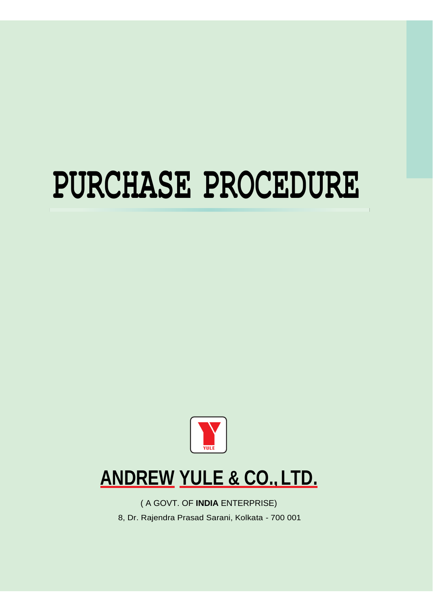# **PURCHASE PROCEDURE**



## **ANDREW YULE & CO.,LTD.**

( A GOVT. OF **INDIA** ENTERPRISE)

8, Dr. Rajendra Prasad Sarani, Kolkata - 700 001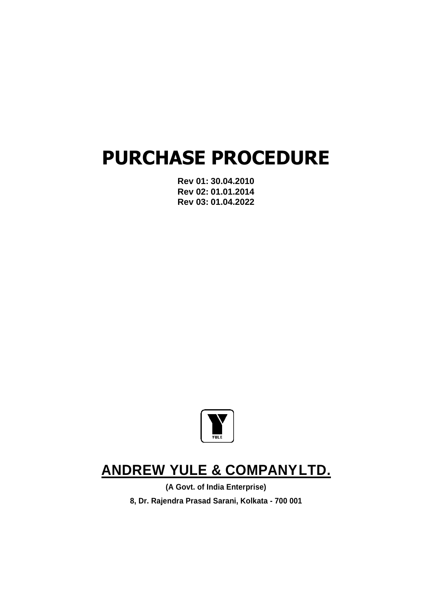## **PURCHASE PROCEDURE**

**Rev 01: 30.04.2010 Rev 02: 01.01.2014 Rev 03: 01.04.2022**



## **ANDREW YULE & COMPANYLTD.**

**(A Govt. of India Enterprise) 8, Dr. Rajendra Prasad Sarani, Kolkata - 700 001**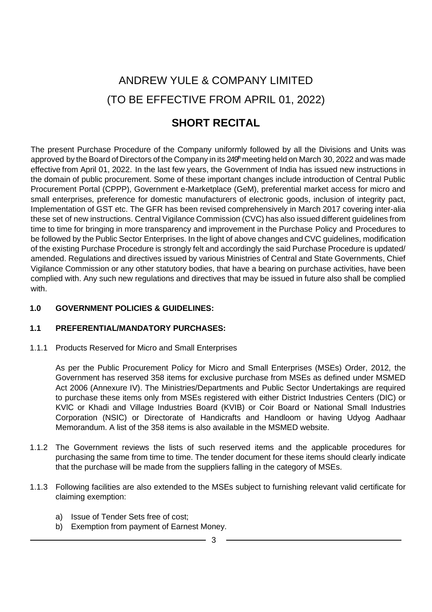## ANDREW YULE & COMPANY LIMITED (TO BE EFFECTIVE FROM APRIL 01, 2022)

## **SHORT RECITAL**

The present Purchase Procedure of the Company uniformly followed by all the Divisions and Units was approved by the Board of Directors of the Company in its 249<sup>th</sup> meeting held on March 30, 2022 and was made effective from April 01, 2022. In the last few years, the Government of India has issued new instructions in the domain of public procurement. Some of these important changes include introduction of Central Public Procurement Portal (CPPP), Government e-Marketplace (GeM), preferential market access for micro and small enterprises, preference for domestic manufacturers of electronic goods, inclusion of integrity pact, Implementation of GST etc. The GFR has been revised comprehensively in March 2017 covering inter-alia these set of new instructions. Central Vigilance Commission (CVC) has also issued different guidelines from time to time for bringing in more transparency and improvement in the Purchase Policy and Procedures to be followed by the Public Sector Enterprises. In the light of above changes and CVC guidelines, modification of the existing Purchase Procedure is strongly felt and accordingly the said Purchase Procedure is updated/ amended. Regulations and directives issued by various Ministries of Central and State Governments, Chief Vigilance Commission or any other statutory bodies, that have a bearing on purchase activities, have been complied with. Any such new regulations and directives that may be issued in future also shall be complied with.

#### **1.0 GOVERNMENT POLICIES & GUIDELINES:**

#### **1.1 PREFERENTIAL/MANDATORY PURCHASES:**

1.1.1 Products Reserved for Micro and Small Enterprises

As per the Public Procurement Policy for Micro and Small Enterprises (MSEs) Order, 2012, the Government has reserved 358 items for exclusive purchase from MSEs as defined under MSMED Act 2006 (Annexure IV). The Ministries/Departments and Public Sector Undertakings are required to purchase these items only from MSEs registered with either District Industries Centers (DIC) or KVlC or Khadi and Village Industries Board (KVIB) or Coir Board or National Small Industries Corporation (NSIC) or Directorate of Handicrafts and Handloom or having Udyog Aadhaar Memorandum. A list of the 358 items is also available in the MSMED website.

- 1.1.2 The Government reviews the lists of such reserved items and the applicable procedures for purchasing the same from time to time. The tender document for these items should clearly indicate that the purchase will be made from the suppliers falling in the category of MSEs.
- 1.1.3 Following facilities are also extended to the MSEs subject to furnishing relevant valid certificate for claiming exemption:
	- a) Issue of Tender Sets free of cost;
	- b) Exemption from payment of Earnest Money.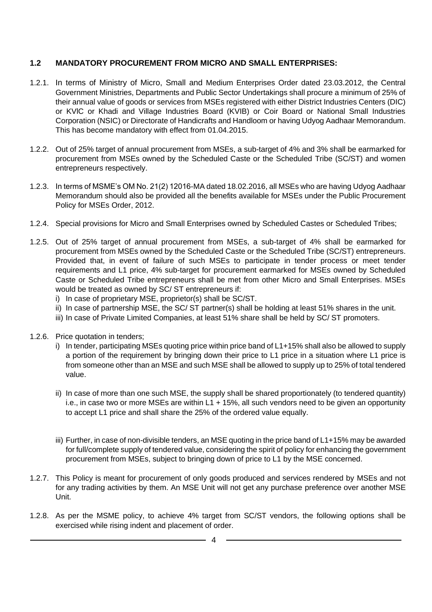#### **1.2 MANDATORY PROCUREMENT FROM MICRO AND SMALL ENTERPRISES:**

- 1.2.1. In terms of Ministry of Micro, Small and Medium Enterprises Order dated 23.03.2012, the Central Government Ministries, Departments and Public Sector Undertakings shall procure a minimum of 25% of their annual value of goods or services from MSEs registered with either District Industries Centers (DIC) or KVlC or Khadi and Village Industries Board (KVIB) or Coir Board or National Small Industries Corporation (NSIC) or Directorate of Handicrafts and Handloom or having Udyog Aadhaar Memorandum. This has become mandatory with effect from 01.04.2015.
- 1.2.2. Out of 25% target of annual procurement from MSEs, a sub-target of 4% and 3% shall be earmarked for procurement from MSEs owned by the Scheduled Caste or the Scheduled Tribe (SC/ST) and women entrepreneurs respectively.
- 1.2.3. In terms of MSME's OM No. 21(2) 12016-MA dated 18.02.2016, all MSEs who are having Udyog Aadhaar Memorandum should also be provided all the benefits available for MSEs under the Public Procurement Policy for MSEs Order, 2012.
- 1.2.4. Special provisions for Micro and Small Enterprises owned by Scheduled Castes or Scheduled Tribes;
- 1.2.5. Out of 25% target of annual procurement from MSEs, a sub-target of 4% shall be earmarked for procurement from MSEs owned by the Scheduled Caste or the Scheduled Tribe (SC/ST) entrepreneurs. Provided that, in event of failure of such MSEs to participate in tender process or meet tender requirements and L1 price, 4% sub-target for procurement earmarked for MSEs owned by Scheduled Caste or Scheduled Tribe entrepreneurs shall be met from other Micro and Small Enterprises. MSEs would be treated as owned by SC/ ST entrepreneurs if:
	- i) In case of proprietary MSE, proprietor(s) shall be SC/ST.
	- ii) In case of partnership MSE, the SC/ ST partner(s) shall be holding at least 51% shares in the unit.
	- iii) In case of Private Limited Companies, at least 51% share shall be held by SC/ ST promoters.
- 1.2.6. Price quotation in tenders;
	- i) In tender, participating MSEs quoting price within price band of L1+15% shall also be allowed to supply a portion of the requirement by bringing down their price to L1 price in a situation where L1 price is from someone other than an MSE and such MSE shall be allowed to supply up to 25% of total tendered value.
	- ii) In case of more than one such MSE, the supply shall be shared proportionately (to tendered quantity) i.e., in case two or more MSEs are within  $L1 + 15\%$ , all such vendors need to be given an opportunity to accept L1 price and shall share the 25% of the ordered value equally.
	- iii) Further, in case of non-divisible tenders, an MSE quoting in the price band of L1+15% may be awarded for full/complete supply of tendered value, considering the spirit of policy for enhancing the government procurement from MSEs, subject to bringing down of price to L1 by the MSE concerned.
- 1.2.7. This Policy is meant for procurement of only goods produced and services rendered by MSEs and not for any trading activities by them. An MSE Unit will not get any purchase preference over another MSE Unit.
- 1.2.8. As per the MSME policy, to achieve 4% target from SC/ST vendors, the following options shall be exercised while rising indent and placement of order.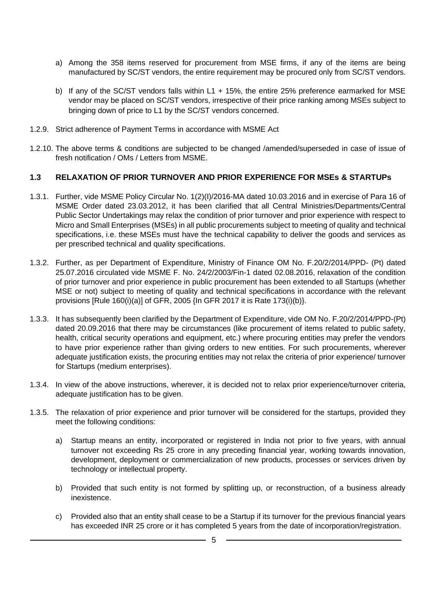- a) Among the 358 items reserved for procurement from MSE firms, if any of the items are being manufactured by SC/ST vendors, the entire requirement may be procured only from SC/ST vendors.
- b) If any of the SC/ST vendors falls within L1 + 15%, the entire 25% preference earmarked for MSE vendor may be placed on SC/ST vendors, irrespective of their price ranking among MSEs subject to bringing down of price to L1 by the SC/ST vendors concerned.
- 1.2.9. Strict adherence of Payment Terms in accordance with MSME Act
- 1.2.10. The above terms & conditions are subjected to be changed /amended/superseded in case of issue of fresh notification / OMs / Letters from MSME.

#### **1.3 RELAXATION OF PRIOR TURNOVER AND PRIOR EXPERIENCE FOR MSEs & STARTUPs**

- 1.3.1. Further, vide MSME Policy Circular No. 1(2)(I)/2016-MA dated 10.03.2016 and in exercise of Para 16 of MSME Order dated 23.03.2012, it has been clarified that all Central Ministries/Departments/Central Public Sector Undertakings may relax the condition of prior turnover and prior experience with respect to Micro and Small Enterprises (MSEs) in all public procurements subject to meeting of quality and technical specifications, i.e. these MSEs must have the technical capability to deliver the goods and services as per prescribed technical and quality specifications.
- 1.3.2. Further, as per Department of Expenditure, Ministry of Finance OM No. F.20/2/2014/PPD- (Pt) dated 25.07.2016 circulated vide MSME F. No. 24/2/2003/Fin-1 dated 02.08.2016, relaxation of the condition of prior turnover and prior experience in public procurement has been extended to all Startups (whether MSE or not) subject to meeting of quality and technical specifications in accordance with the relevant provisions [Rule 160(i)(a)] of GFR, 2005 {In GFR 2017 it is Rate 173(i)(b)}.
- 1.3.3. It has subsequently been clarified by the Department of Expenditure, vide OM No. F.20/2/2014/PPD-(Pt) dated 20.09.2016 that there may be circumstances (like procurement of items related to public safety, health, critical security operations and equipment, etc.) where procuring entities may prefer the vendors to have prior experience rather than giving orders to new entities. For such procurements, wherever adequate justification exists, the procuring entities may not relax the criteria of prior experience/ turnover for Startups (medium enterprises).
- 1.3.4. In view of the above instructions, wherever, it is decided not to relax prior experience/turnover criteria, adequate justification has to be given.
- 1.3.5. The relaxation of prior experience and prior turnover will be considered for the startups, provided they meet the following conditions:
	- a) Startup means an entity, incorporated or registered in India not prior to five years, with annual turnover not exceeding Rs 25 crore in any preceding financial year, working towards innovation, development, deployment or commercialization of new products, processes or services driven by technology or intellectual property.
	- b) Provided that such entity is not formed by splitting up, or reconstruction, of a business already inexistence.
	- c) Provided also that an entity shall cease to be a Startup if its turnover for the previous financial years has exceeded INR 25 crore or it has completed 5 years from the date of incorporation/registration.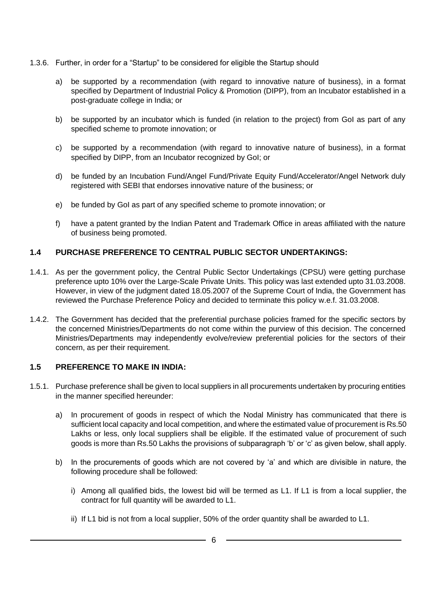- 1.3.6. Further, in order for a "Startup" to be considered for eligible the Startup should
	- a) be supported by a recommendation (with regard to innovative nature of business), in a format specified by Department of Industrial Policy & Promotion (DIPP), from an Incubator established in a post-graduate college in India; or
	- b) be supported by an incubator which is funded (in relation to the project) from GoI as part of any specified scheme to promote innovation; or
	- c) be supported by a recommendation (with regard to innovative nature of business), in a format specified by DIPP, from an Incubator recognized by GoI; or
	- d) be funded by an Incubation Fund/Angel Fund/Private Equity Fund/Accelerator/Angel Network duly registered with SEBI that endorses innovative nature of the business; or
	- e) be funded by GoI as part of any specified scheme to promote innovation; or
	- f) have a patent granted by the Indian Patent and Trademark Office in areas affiliated with the nature of business being promoted.

#### **1.4 PURCHASE PREFERENCE TO CENTRAL PUBLIC SECTOR UNDERTAKINGS:**

- 1.4.1. As per the government policy, the Central Public Sector Undertakings (CPSU) were getting purchase preference upto 10% over the Large-Scale Private Units. This policy was last extended upto 31.03.2008. However, in view of the judgment dated 18.05.2007 of the Supreme Court of India, the Government has reviewed the Purchase Preference Policy and decided to terminate this policy w.e.f. 31.03.2008.
- 1.4.2. The Government has decided that the preferential purchase policies framed for the specific sectors by the concerned Ministries/Departments do not come within the purview of this decision. The concerned Ministries/Departments may independently evolve/review preferential policies for the sectors of their concern, as per their requirement.

#### **1.5 PREFERENCE TO MAKE IN INDIA:**

- 1.5.1. Purchase preference shall be given to local suppliers in all procurements undertaken by procuring entities in the manner specified hereunder:
	- a) In procurement of goods in respect of which the Nodal Ministry has communicated that there is sufficient local capacity and local competition, and where the estimated value of procurement is Rs.50 Lakhs or less, only local suppliers shall be eligible. If the estimated value of procurement of such goods is more than Rs.50 Lakhs the provisions of subparagraph 'b' or 'c' as given below, shall apply.
	- b) In the procurements of goods which are not covered by 'a' and which are divisible in nature, the following procedure shall be followed:
		- i) Among all qualified bids, the lowest bid will be termed as L1. If L1 is from a local supplier, the contract for full quantity will be awarded to L1.
		- ii) If L1 bid is not from a local supplier, 50% of the order quantity shall be awarded to L1.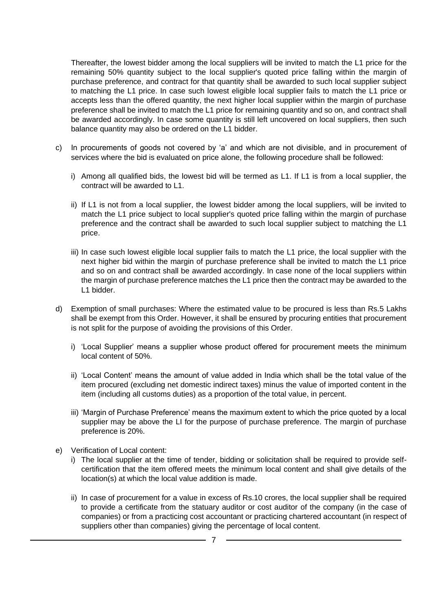Thereafter, the lowest bidder among the local suppliers will be invited to match the L1 price for the remaining 50% quantity subject to the local supplier's quoted price falling within the margin of purchase preference, and contract for that quantity shall be awarded to such local supplier subject to matching the L1 price. In case such lowest eligible local supplier fails to match the L1 price or accepts less than the offered quantity, the next higher local supplier within the margin of purchase preference shall be invited to match the L1 price for remaining quantity and so on, and contract shall be awarded accordingly. In case some quantity is still left uncovered on local suppliers, then such balance quantity may also be ordered on the L1 bidder.

- c) In procurements of goods not covered by 'a' and which are not divisible, and in procurement of services where the bid is evaluated on price alone, the following procedure shall be followed:
	- i) Among all qualified bids, the lowest bid will be termed as L1. If L1 is from a local supplier, the contract will be awarded to L1.
	- ii) If L1 is not from a local supplier, the lowest bidder among the local suppliers, will be invited to match the L1 price subject to local supplier's quoted price falling within the margin of purchase preference and the contract shall be awarded to such local supplier subject to matching the L1 price.
	- iii) In case such lowest eligible local supplier fails to match the L1 price, the local supplier with the next higher bid within the margin of purchase preference shall be invited to match the L1 price and so on and contract shall be awarded accordingly. In case none of the local suppliers within the margin of purchase preference matches the L1 price then the contract may be awarded to the L1 bidder.
- d) Exemption of small purchases: Where the estimated value to be procured is less than Rs.5 Lakhs shall be exempt from this Order. However, it shall be ensured by procuring entities that procurement is not split for the purpose of avoiding the provisions of this Order.
	- i) 'Local Supplier' means a supplier whose product offered for procurement meets the minimum local content of 50%.
	- ii) 'Local Content' means the amount of value added in India which shall be the total value of the item procured (excluding net domestic indirect taxes) minus the value of imported content in the item (including all customs duties) as a proportion of the total value, in percent.
	- iii) 'Margin of Purchase Preference' means the maximum extent to which the price quoted by a local supplier may be above the LI for the purpose of purchase preference. The margin of purchase preference is 20%.
- e) Verification of Local content:
	- i) The local supplier at the time of tender, bidding or solicitation shall be required to provide selfcertification that the item offered meets the minimum local content and shall give details of the location(s) at which the local value addition is made.
	- ii) In case of procurement for a value in excess of Rs.10 crores, the local supplier shall be required to provide a certificate from the statuary auditor or cost auditor of the company (in the case of companies) or from a practicing cost accountant or practicing chartered accountant (in respect of suppliers other than companies) giving the percentage of local content.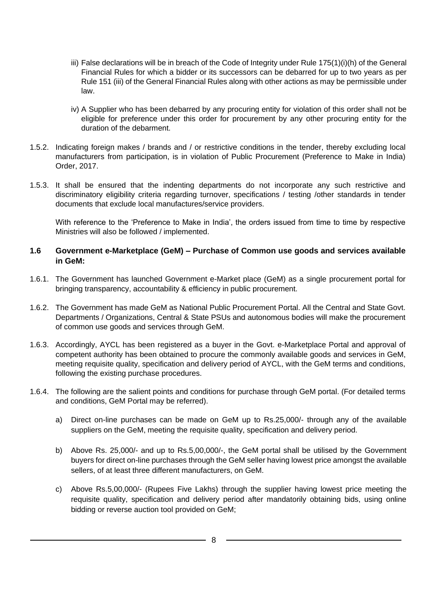- iii) False declarations will be in breach of the Code of Integrity under Rule 175(1)(i)(h) of the General Financial Rules for which a bidder or its successors can be debarred for up to two years as per Rule 151 (iii) of the General Financial Rules along with other actions as may be permissible under law.
- iv) A Supplier who has been debarred by any procuring entity for violation of this order shall not be eligible for preference under this order for procurement by any other procuring entity for the duration of the debarment.
- 1.5.2. Indicating foreign makes / brands and / or restrictive conditions in the tender, thereby excluding local manufacturers from participation, is in violation of Public Procurement (Preference to Make in India) Order, 2017.
- 1.5.3. It shall be ensured that the indenting departments do not incorporate any such restrictive and discriminatory eligibility criteria regarding turnover, specifications / testing /other standards in tender documents that exclude local manufactures/service providers.

With reference to the 'Preference to Make in India', the orders issued from time to time by respective Ministries will also be followed / implemented.

#### **1.6 Government e-Marketplace (GeM) – Purchase of Common use goods and services available in GeM:**

- 1.6.1. The Government has launched Government e-Market place (GeM) as a single procurement portal for bringing transparency, accountability & efficiency in public procurement.
- 1.6.2. The Government has made GeM as National Public Procurement Portal. All the Central and State Govt. Departments / Organizations, Central & State PSUs and autonomous bodies will make the procurement of common use goods and services through GeM.
- 1.6.3. Accordingly, AYCL has been registered as a buyer in the Govt. e-Marketplace Portal and approval of competent authority has been obtained to procure the commonly available goods and services in GeM, meeting requisite quality, specification and delivery period of AYCL, with the GeM terms and conditions, following the existing purchase procedures.
- 1.6.4. The following are the salient points and conditions for purchase through GeM portal. (For detailed terms and conditions, GeM Portal may be referred).
	- a) Direct on-line purchases can be made on GeM up to Rs.25,000/- through any of the available suppliers on the GeM, meeting the requisite quality, specification and delivery period.
	- b) Above Rs. 25,000/- and up to Rs.5,00,000/-, the GeM portal shall be utilised by the Government buyers for direct on-line purchases through the GeM seller having lowest price amongst the available sellers, of at least three different manufacturers, on GeM.
	- c) Above Rs.5,00,000/- (Rupees Five Lakhs) through the supplier having lowest price meeting the requisite quality, specification and delivery period after mandatorily obtaining bids, using online bidding or reverse auction tool provided on GeM;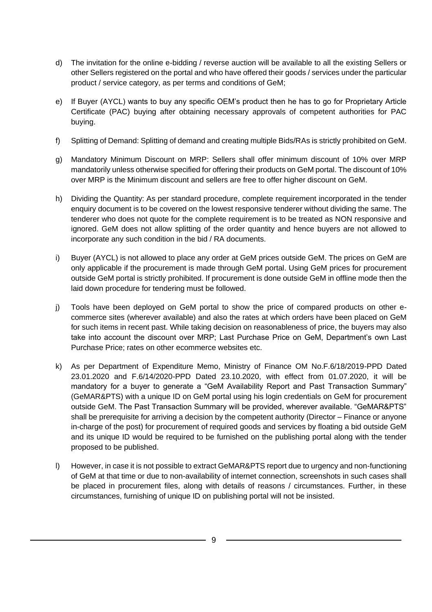- d) The invitation for the online e-bidding / reverse auction will be available to all the existing Sellers or other Sellers registered on the portal and who have offered their goods / services under the particular product / service category, as per terms and conditions of GeM;
- e) If Buyer (AYCL) wants to buy any specific OEM's product then he has to go for Proprietary Article Certificate (PAC) buying after obtaining necessary approvals of competent authorities for PAC buying.
- f) Splitting of Demand: Splitting of demand and creating multiple Bids/RAs is strictly prohibited on GeM.
- g) Mandatory Minimum Discount on MRP: Sellers shall offer minimum discount of 10% over MRP mandatorily unless otherwise specified for offering their products on GeM portal. The discount of 10% over MRP is the Minimum discount and sellers are free to offer higher discount on GeM.
- h) Dividing the Quantity: As per standard procedure, complete requirement incorporated in the tender enquiry document is to be covered on the lowest responsive tenderer without dividing the same. The tenderer who does not quote for the complete requirement is to be treated as NON responsive and ignored. GeM does not allow splitting of the order quantity and hence buyers are not allowed to incorporate any such condition in the bid / RA documents.
- i) Buyer (AYCL) is not allowed to place any order at GeM prices outside GeM. The prices on GeM are only applicable if the procurement is made through GeM portal. Using GeM prices for procurement outside GeM portal is strictly prohibited. If procurement is done outside GeM in offline mode then the laid down procedure for tendering must be followed.
- j) Tools have been deployed on GeM portal to show the price of compared products on other ecommerce sites (wherever available) and also the rates at which orders have been placed on GeM for such items in recent past. While taking decision on reasonableness of price, the buyers may also take into account the discount over MRP; Last Purchase Price on GeM, Department's own Last Purchase Price; rates on other ecommerce websites etc.
- k) As per Department of Expenditure Memo, Ministry of Finance OM No.F.6/18/2019-PPD Dated 23.01.2020 and F.6/14/2020-PPD Dated 23.10.2020, with effect from 01.07.2020, it will be mandatory for a buyer to generate a "GeM Availability Report and Past Transaction Summary" (GeMAR&PTS) with a unique ID on GeM portal using his login credentials on GeM for procurement outside GeM. The Past Transaction Summary will be provided, wherever available. "GeMAR&PTS" shall be prerequisite for arriving a decision by the competent authority (Director – Finance or anyone in-charge of the post) for procurement of required goods and services by floating a bid outside GeM and its unique ID would be required to be furnished on the publishing portal along with the tender proposed to be published.
- l) However, in case it is not possible to extract GeMAR&PTS report due to urgency and non-functioning of GeM at that time or due to non-availability of internet connection, screenshots in such cases shall be placed in procurement files, along with details of reasons / circumstances. Further, in these circumstances, furnishing of unique ID on publishing portal will not be insisted.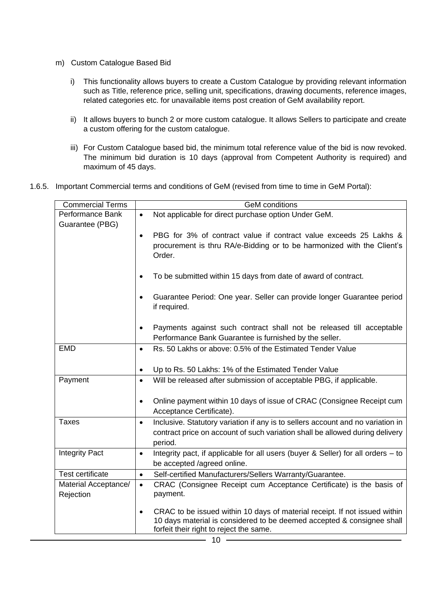- m) Custom Catalogue Based Bid
	- i) This functionality allows buyers to create a Custom Catalogue by providing relevant information such as Title, reference price, selling unit, specifications, drawing documents, reference images, related categories etc. for unavailable items post creation of GeM availability report.
	- ii) It allows buyers to bunch 2 or more custom catalogue. It allows Sellers to participate and create a custom offering for the custom catalogue.
	- iii) For Custom Catalogue based bid, the minimum total reference value of the bid is now revoked. The minimum bid duration is 10 days (approval from Competent Authority is required) and maximum of 45 days.
- 1.6.5. Important Commercial terms and conditions of GeM (revised from time to time in GeM Portal):

| <b>Commercial Terms</b>           | <b>GeM</b> conditions                                                                                                                                                                                        |  |  |  |
|-----------------------------------|--------------------------------------------------------------------------------------------------------------------------------------------------------------------------------------------------------------|--|--|--|
| Performance Bank                  | Not applicable for direct purchase option Under GeM.<br>$\bullet$                                                                                                                                            |  |  |  |
| Guarantee (PBG)                   | PBG for 3% of contract value if contract value exceeds 25 Lakhs &<br>$\bullet$<br>procurement is thru RA/e-Bidding or to be harmonized with the Client's<br>Order.                                           |  |  |  |
|                                   | To be submitted within 15 days from date of award of contract.<br>$\bullet$                                                                                                                                  |  |  |  |
|                                   | Guarantee Period: One year. Seller can provide longer Guarantee period<br>$\bullet$<br>if required.                                                                                                          |  |  |  |
|                                   | Payments against such contract shall not be released till acceptable<br>$\bullet$<br>Performance Bank Guarantee is furnished by the seller.                                                                  |  |  |  |
| <b>EMD</b>                        | Rs. 50 Lakhs or above: 0.5% of the Estimated Tender Value<br>$\bullet$                                                                                                                                       |  |  |  |
|                                   |                                                                                                                                                                                                              |  |  |  |
|                                   | Up to Rs. 50 Lakhs: 1% of the Estimated Tender Value<br>$\bullet$                                                                                                                                            |  |  |  |
| Payment                           | Will be released after submission of acceptable PBG, if applicable.<br>$\bullet$                                                                                                                             |  |  |  |
|                                   | Online payment within 10 days of issue of CRAC (Consignee Receipt cum<br>$\bullet$                                                                                                                           |  |  |  |
|                                   | Acceptance Certificate).                                                                                                                                                                                     |  |  |  |
| <b>Taxes</b>                      | Inclusive. Statutory variation if any is to sellers account and no variation in<br>$\bullet$                                                                                                                 |  |  |  |
|                                   | contract price on account of such variation shall be allowed during delivery<br>period.                                                                                                                      |  |  |  |
| <b>Integrity Pact</b>             | Integrity pact, if applicable for all users (buyer & Seller) for all orders - to<br>$\bullet$<br>be accepted /agreed online.                                                                                 |  |  |  |
| <b>Test certificate</b>           | Self-certified Manufacturers/Sellers Warranty/Guarantee.<br>$\bullet$                                                                                                                                        |  |  |  |
| Material Acceptance/<br>Rejection | CRAC (Consignee Receipt cum Acceptance Certificate) is the basis of<br>$\bullet$<br>payment.                                                                                                                 |  |  |  |
|                                   | CRAC to be issued within 10 days of material receipt. If not issued within<br>$\bullet$<br>10 days material is considered to be deemed accepted & consignee shall<br>forfeit their right to reject the same. |  |  |  |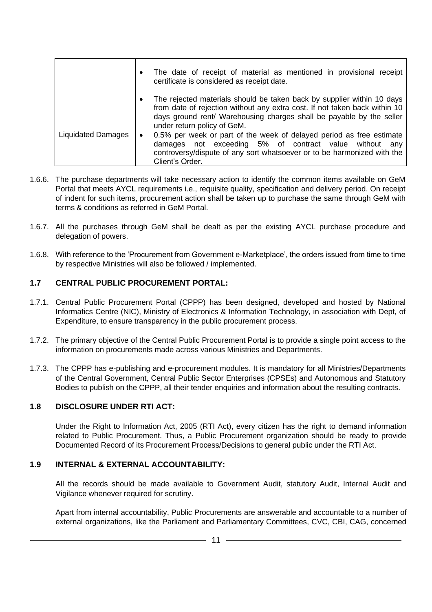|                           | $\bullet$ | The date of receipt of material as mentioned in provisional receipt<br>certificate is considered as receipt date.                                                                                                                                           |
|---------------------------|-----------|-------------------------------------------------------------------------------------------------------------------------------------------------------------------------------------------------------------------------------------------------------------|
|                           |           | The rejected materials should be taken back by supplier within 10 days<br>from date of rejection without any extra cost. If not taken back within 10<br>days ground rent/ Warehousing charges shall be payable by the seller<br>under return policy of GeM. |
| <b>Liquidated Damages</b> | $\bullet$ | 0.5% per week or part of the week of delayed period as free estimate<br>damages not exceeding 5% of contract value without any<br>controversy/dispute of any sort whatsoever or to be harmonized with the<br>Client's Order.                                |

- 1.6.6. The purchase departments will take necessary action to identify the common items available on GeM Portal that meets AYCL requirements i.e., requisite quality, specification and delivery period. On receipt of indent for such items, procurement action shall be taken up to purchase the same through GeM with terms & conditions as referred in GeM Portal.
- 1.6.7. All the purchases through GeM shall be dealt as per the existing AYCL purchase procedure and delegation of powers.
- 1.6.8. With reference to the 'Procurement from Government e-Marketplace', the orders issued from time to time by respective Ministries will also be followed / implemented.

#### **1.7 CENTRAL PUBLIC PROCUREMENT PORTAL:**

- 1.7.1. Central Public Procurement Portal (CPPP) has been designed, developed and hosted by National Informatics Centre (NIC), Ministry of Electronics & Information Technology, in association with Dept, of Expenditure, to ensure transparency in the public procurement process.
- 1.7.2. The primary objective of the Central Public Procurement Portal is to provide a single point access to the information on procurements made across various Ministries and Departments.
- 1.7.3. The CPPP has e-publishing and e-procurement modules. It is mandatory for all Ministries/Departments of the Central Government, Central Public Sector Enterprises (CPSEs) and Autonomous and Statutory Bodies to publish on the CPPP, all their tender enquiries and information about the resulting contracts.

#### **1.8 DISCLOSURE UNDER RTI ACT:**

Under the Right to Information Act, 2005 (RTI Act), every citizen has the right to demand information related to Public Procurement. Thus, a Public Procurement organization should be ready to provide Documented Record of its Procurement Process/Decisions to general public under the RTI Act.

#### **1.9 INTERNAL & EXTERNAL ACCOUNTABILITY:**

All the records should be made available to Government Audit, statutory Audit, Internal Audit and Vigilance whenever required for scrutiny.

Apart from internal accountability, Public Procurements are answerable and accountable to a number of external organizations, like the Parliament and Parliamentary Committees, CVC, CBI, CAG, concerned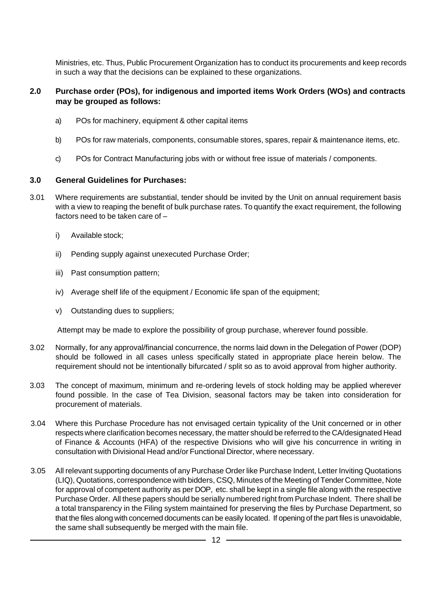Ministries, etc. Thus, Public Procurement Organization has to conduct its procurements and keep records in such a way that the decisions can be explained to these organizations.

#### **2.0 Purchase order (POs), for indigenous and imported items Work Orders (WOs) and contracts may be grouped as follows:**

- a) POs for machinery, equipment & other capital items
- b) POs for raw materials, components, consumable stores, spares, repair & maintenance items, etc.
- c) POs for Contract Manufacturing jobs with or without free issue of materials / components.

#### **3.0 General Guidelines for Purchases:**

- 3.01 Where requirements are substantial, tender should be invited by the Unit on annual requirement basis with a view to reaping the benefit of bulk purchase rates. To quantify the exact requirement, the following factors need to be taken care of –
	- i) Available stock;
	- ii) Pending supply against unexecuted Purchase Order;
	- iii) Past consumption pattern;
	- iv) Average shelf life of the equipment / Economic life span of the equipment;
	- v) Outstanding dues to suppliers;

Attempt may be made to explore the possibility of group purchase, wherever found possible.

- 3.02 Normally, for any approval/financial concurrence, the norms laid down in the Delegation of Power (DOP) should be followed in all cases unless specifically stated in appropriate place herein below. The requirement should not be intentionally bifurcated / split so as to avoid approval from higher authority.
- 3.03 The concept of maximum, minimum and re-ordering levels of stock holding may be applied wherever found possible. In the case of Tea Division, seasonal factors may be taken into consideration for procurement of materials.
- 3.04 Where this Purchase Procedure has not envisaged certain typicality of the Unit concerned or in other respects where clarification becomes necessary, the matter should be referred to the CA/designated Head of Finance & Accounts (HFA) of the respective Divisions who will give his concurrence in writing in consultation with Divisional Head and/or Functional Director, where necessary.
- 3.05 All relevant supporting documents of any Purchase Order like Purchase Indent, Letter Inviting Quotations (LIQ), Quotations, correspondence with bidders, CSQ, Minutes of the Meeting of Tender Committee, Note for approval of competent authority as per DOP, etc. shall be kept in a single file along with the respective Purchase Order. All these papers should be serially numbered right from Purchase Indent. There shall be a total transparency in the Filing system maintained for preserving the files by Purchase Department, so that the files along with concerned documents can be easily located. If opening of the part files is unavoidable, the same shall subsequently be merged with the main file.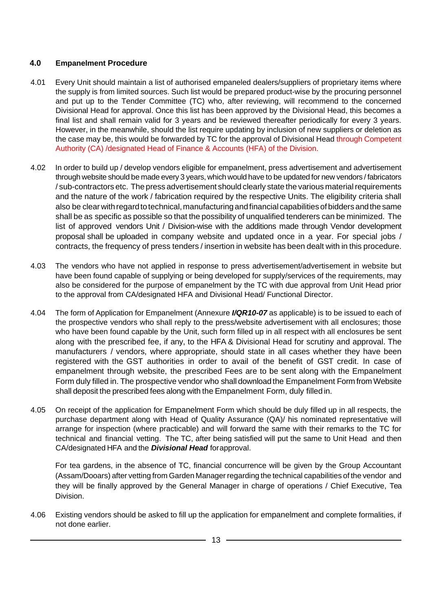#### **4.0 Empanelment Procedure**

- 4.01 Every Unit should maintain a list of authorised empaneled dealers/suppliers of proprietary items where the supply is from limited sources. Such list would be prepared product-wise by the procuring personnel and put up to the Tender Committee (TC) who, after reviewing, will recommend to the concerned Divisional Head for approval. Once this list has been approved by the Divisional Head, this becomes a final list and shall remain valid for 3 years and be reviewed thereafter periodically for every 3 years. However, in the meanwhile, should the list require updating by inclusion of new suppliers or deletion as the case may be, this would be forwarded by TC for the approval of Divisional Head through Competent Authority (CA) /designated Head of Finance & Accounts (HFA) of the Division.
- 4.02 In order to build up / develop vendors eligible for empanelment, press advertisement and advertisement through website should be made every 3 years, which would have to be updated for new vendors / fabricators / sub-contractors etc. The press advertisement should clearly state the various material requirements and the nature of the work / fabrication required by the respective Units. The eligibility criteria shall also be clear with regard to technical, manufacturing and financial capabilities of bidders and the same shall be as specific as possible so that the possibility of unqualified tenderers can be minimized. The list of approved vendors Unit / Division-wise with the additions made through Vendor development proposal shall be uploaded in company website and updated once in a year. For special jobs / contracts, the frequency of press tenders / insertion in website has been dealt with in this procedure.
- 4.03 The vendors who have not applied in response to press advertisement/advertisement in website but have been found capable of supplying or being developed for supply/services of the requirements, may also be considered for the purpose of empanelment by the TC with due approval from Unit Head prior to the approval from CA/designated HFA and Divisional Head/ Functional Director.
- 4.04 The form of Application for Empanelment (Annexure *I/QR10-07* as applicable) is to be issued to each of the prospective vendors who shall reply to the press/website advertisement with all enclosures; those who have been found capable by the Unit, such form filled up in all respect with all enclosures be sent along with the prescribed fee, if any, to the HFA & Divisional Head for scrutiny and approval. The manufacturers / vendors, where appropriate, should state in all cases whether they have been registered with the GST authorities in order to avail of the benefit of GST credit. In case of empanelment through website, the prescribed Fees are to be sent along with the Empanelment Form duly filled in. The prospective vendor who shall download the Empanelment Form from Website shall deposit the prescribed fees along with the Empanelment Form, duly filled in.
- 4.05 On receipt of the application for Empanelment Form which should be duly filled up in all respects, the purchase department along with Head of Quality Assurance (QA)/ his nominated representative will arrange for inspection (where practicable) and will forward the same with their remarks to the TC for technical and financial vetting. The TC, after being satisfied will put the same to Unit Head and then CA/designated HFA and the *Divisional Head* forapproval.

For tea gardens, in the absence of TC, financial concurrence will be given by the Group Accountant (Assam/Dooars) after vetting from Garden Manager regarding the technical capabilities of the vendor and they will be finally approved by the General Manager in charge of operations / Chief Executive, Tea Division.

4.06 Existing vendors should be asked to fill up the application for empanelment and complete formalities, if not done earlier.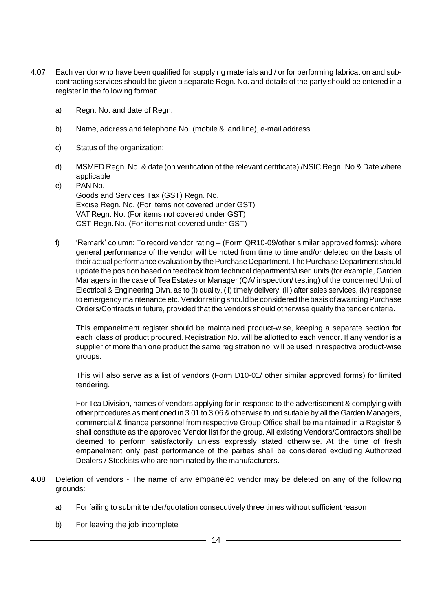- 4.07 Each vendor who have been qualified for supplying materials and / or for performing fabrication and subcontracting services should be given a separate Regn. No. and details of the party should be entered in a register in the following format:
	- a) Regn. No. and date of Regn.
	- b) Name, address and telephone No. (mobile & land line), e-mail address
	- c) Status of the organization:
	- d) MSMED Regn. No. & date (on verification of the relevant certificate) /NSIC Regn. No & Date where applicable
	- e) PAN No. Goods and Services Tax (GST) Regn. No. Excise Regn. No. (For items not covered under GST) VAT Regn. No. (For items not covered under GST) CST Regn.No. (For items not covered under GST)
	- f) 'Remark' column: To record vendor rating (Form QR10-09/other similar approved forms): where general performance of the vendor will be noted from time to time and/or deleted on the basis of their actual performance evaluation by the Purchase Department. The Purchase Department should update the position based on feedback from technical departments/user units (for example, Garden Managers in the case of Tea Estates or Manager (QA/ inspection/ testing) of the concerned Unit of Electrical & Engineering Divn. as to (i) quality, (ii) timely delivery, (iii) after sales services, (iv) response to emergency maintenance etc. Vendor rating should be considered the basis of awarding Purchase Orders/Contracts in future, provided that the vendors should otherwise qualify the tender criteria.

This empanelment register should be maintained product-wise, keeping a separate section for each class of product procured. Registration No. will be allotted to each vendor. If any vendor is a supplier of more than one product the same registration no. will be used in respective product-wise groups.

This will also serve as a list of vendors (Form D10-01/ other similar approved forms) for limited tendering.

For Tea Division, names of vendors applying for in response to the advertisement & complying with other procedures as mentioned in 3.01 to 3.06 & otherwise found suitable by all the Garden Managers, commercial & finance personnel from respective Group Office shall be maintained in a Register & shall constitute as the approved Vendor list for the group. All existing Vendors/Contractors shall be deemed to perform satisfactorily unless expressly stated otherwise. At the time of fresh empanelment only past performance of the parties shall be considered excluding Authorized Dealers / Stockists who are nominated by the manufacturers.

- 4.08 Deletion of vendors The name of any empaneled vendor may be deleted on any of the following grounds:
	- a) For failing to submit tender/quotation consecutively three times without sufficient reason
	- b) For leaving the job incomplete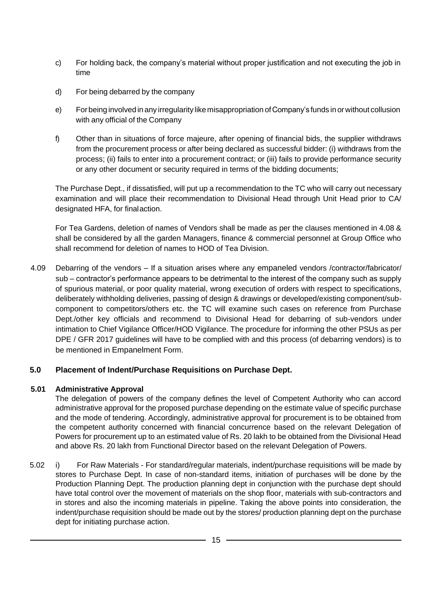- c) For holding back, the company's material without proper justification and not executing the job in time
- d) For being debarred by the company
- e) Forbeing involved in any irregularity like misappropriation ofCompany's funds inorwithout collusion with any official of the Company
- f) Other than in situations of force majeure, after opening of financial bids, the supplier withdraws from the procurement process or after being declared as successful bidder: (i) withdraws from the process; (ii) fails to enter into a procurement contract; or (iii) fails to provide performance security or any other document or security required in terms of the bidding documents;

The Purchase Dept., if dissatisfied, will put up a recommendation to the TC who will carry out necessary examination and will place their recommendation to Divisional Head through Unit Head prior to CA/ designated HFA, for finalaction.

For Tea Gardens, deletion of names of Vendors shall be made as per the clauses mentioned in 4.08 & shall be considered by all the garden Managers, finance & commercial personnel at Group Office who shall recommend for deletion of names to HOD of Tea Division.

4.09 Debarring of the vendors – If a situation arises where any empaneled vendors /contractor/fabricator/ sub – contractor's performance appears to be detrimental to the interest of the company such as supply of spurious material, or poor quality material, wrong execution of orders with respect to specifications, deliberately withholding deliveries, passing of design & drawings or developed/existing component/subcomponent to competitors/others etc. the TC will examine such cases on reference from Purchase Dept./other key officials and recommend to Divisional Head for debarring of sub-vendors under intimation to Chief Vigilance Officer/HOD Vigilance. The procedure for informing the other PSUs as per DPE / GFR 2017 guidelines will have to be complied with and this process (of debarring vendors) is to be mentioned in Empanelment Form.

#### **5.0 Placement of Indent/Purchase Requisitions on Purchase Dept.**

#### **5.01 Administrative Approval**

The delegation of powers of the company defines the level of Competent Authority who can accord administrative approval for the proposed purchase depending on the estimate value of specific purchase and the mode of tendering. Accordingly, administrative approval for procurement is to be obtained from the competent authority concerned with financial concurrence based on the relevant Delegation of Powers for procurement up to an estimated value of Rs. 20 lakh to be obtained from the Divisional Head and above Rs. 20 lakh from Functional Director based on the relevant Delegation of Powers.

5.02 i) For Raw Materials - For standard/regular materials, indent/purchase requisitions will be made by stores to Purchase Dept. In case of non-standard items, initiation of purchases will be done by the Production Planning Dept. The production planning dept in conjunction with the purchase dept should have total control over the movement of materials on the shop floor, materials with sub-contractors and in stores and also the incoming materials in pipeline. Taking the above points into consideration, the indent/purchase requisition should be made out by the stores/ production planning dept on the purchase dept for initiating purchase action.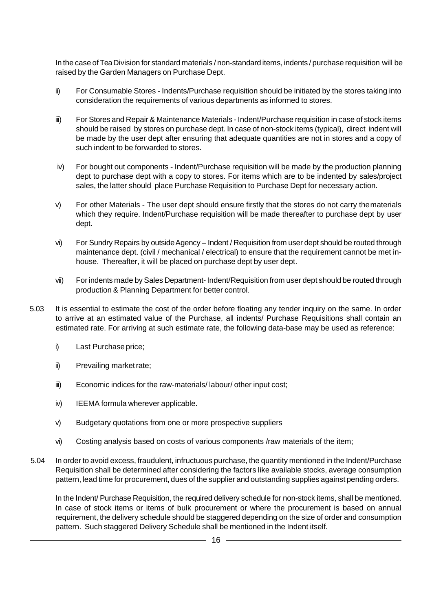In the case of TeaDivision for standard materials / non-standard items, indents / purchase requisition will be raised by the Garden Managers on Purchase Dept.

- ii) For Consumable Stores Indents/Purchase requisition should be initiated by the stores taking into consideration the requirements of various departments as informed to stores.
- iii) For Stores and Repair & Maintenance Materials Indent/Purchase requisition in case of stock items should be raised by stores on purchase dept. In case of non-stock items (typical), direct indent will be made by the user dept after ensuring that adequate quantities are not in stores and a copy of such indent to be forwarded to stores.
- iv) For bought out components Indent/Purchase requisition will be made by the production planning dept to purchase dept with a copy to stores. For items which are to be indented by sales/project sales, the latter should place Purchase Requisition to Purchase Dept for necessary action.
- v) For other Materials The user dept should ensure firstly that the stores do not carry thematerials which they require. Indent/Purchase requisition will be made thereafter to purchase dept by user dept.
- vi) For Sundry Repairs by outside Agency Indent / Requisition from user dept should be routed through maintenance dept. (civil / mechanical / electrical) to ensure that the requirement cannot be met inhouse. Thereafter, it will be placed on purchase dept by user dept.
- vii) For indents made by Sales Department- Indent/Requisition from user dept should be routed through production & Planning Department for better control.
- 5.03 It is essential to estimate the cost of the order before floating any tender inquiry on the same. In order to arrive at an estimated value of the Purchase, all indents/ Purchase Requisitions shall contain an estimated rate. For arriving at such estimate rate, the following data-base may be used as reference:
	- i) Last Purchase price;
	- ii) Prevailing marketrate;
	- iii) Economic indices for the raw-materials/ labour/ other input cost;
	- iv) IEEMA formula wherever applicable.
	- v) Budgetary quotations from one or more prospective suppliers
	- vi) Costing analysis based on costs of various components /raw materials of the item;
- 5.04 In order to avoid excess, fraudulent, infructuous purchase, the quantity mentioned in the Indent/Purchase Requisition shall be determined after considering the factors like available stocks, average consumption pattern, lead time for procurement, dues of the supplier and outstanding supplies against pending orders.

In the Indent/ Purchase Requisition, the required delivery schedule for non-stock items, shall be mentioned. In case of stock items or items of bulk procurement or where the procurement is based on annual requirement, the delivery schedule should be staggered depending on the size of order and consumption pattern. Such staggered Delivery Schedule shall be mentioned in the Indent itself.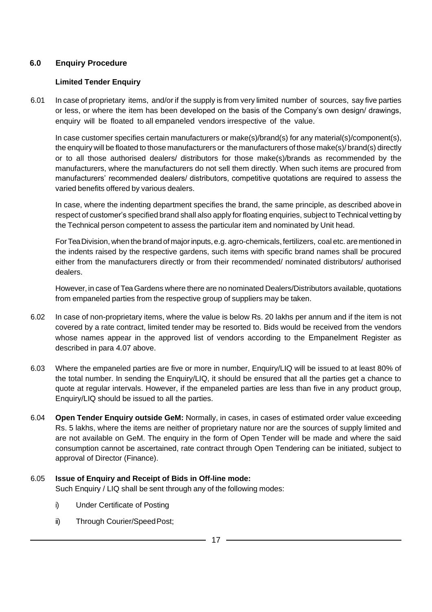#### **6.0 Enquiry Procedure**

#### **Limited Tender Enquiry**

6.01 In case of proprietary items, and/or if the supply is from very limited number of sources, say five parties or less, or where the item has been developed on the basis of the Company's own design/ drawings, enquiry will be floated to all empaneled vendors irrespective of the value.

In case customer specifies certain manufacturers or make(s)/brand(s) for any material(s)/component(s), the enquiry will be floated to those manufacturers or the manufacturers of those make(s)/ brand(s) directly or to all those authorised dealers/ distributors for those make(s)/brands as recommended by the manufacturers, where the manufacturers do not sell them directly. When such items are procured from manufacturers' recommended dealers/ distributors, competitive quotations are required to assess the varied benefits offered by various dealers.

In case, where the indenting department specifies the brand, the same principle, as described abovein respect of customer's specified brand shall also apply for floating enquiries, subject to Technical vetting by the Technical person competent to assess the particular item and nominated by Unit head.

For Tea Division, when the brand of major inputs, e.g. agro-chemicals, fertilizers, coal etc. are mentioned in the indents raised by the respective gardens, such items with specific brand names shall be procured either from the manufacturers directly or from their recommended/ nominated distributors/ authorised dealers.

However, in case of TeaGardens where there are no nominated Dealers/Distributors available, quotations from empaneled parties from the respective group of suppliers may be taken.

- 6.02 In case of non-proprietary items, where the value is below Rs. 20 lakhs per annum and if the item is not covered by a rate contract, limited tender may be resorted to. Bids would be received from the vendors whose names appear in the approved list of vendors according to the Empanelment Register as described in para 4.07 above.
- 6.03 Where the empaneled parties are five or more in number, Enquiry/LIQ will be issued to at least 80% of the total number. In sending the Enquiry/LIQ, it should be ensured that all the parties get a chance to quote at regular intervals. However, if the empaneled parties are less than five in any product group, Enquiry/LIQ should be issued to all the parties.
- 6.04 **Open Tender Enquiry outside GeM:** Normally, in cases, in cases of estimated order value exceeding Rs. 5 lakhs, where the items are neither of proprietary nature nor are the sources of supply limited and are not available on GeM. The enquiry in the form of Open Tender will be made and where the said consumption cannot be ascertained, rate contract through Open Tendering can be initiated, subject to approval of Director (Finance).

#### 6.05 **Issue of Enquiry and Receipt of Bids in Off-line mode:** Such Enquiry / LIQ shall be sent through any of the following modes:

- i) Under Certificate of Posting
- ii) Through Courier/SpeedPost;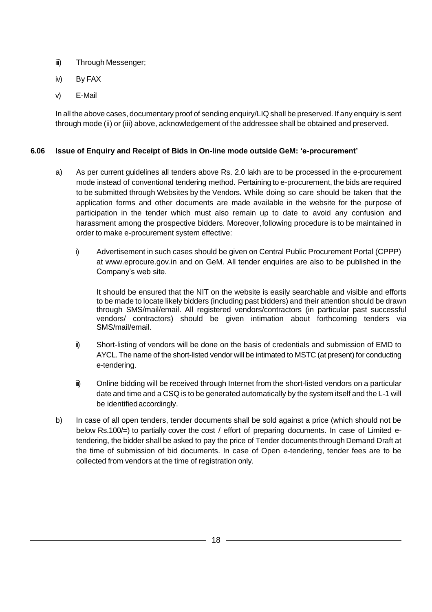- iii) Through Messenger;
- iv) By FAX
- v) E-Mail

In all the above cases, documentary proof of sending enquiry/LIQ shall be preserved. If any enquiry is sent through mode (ii) or (iii) above, acknowledgement of the addressee shall be obtained and preserved.

#### **6.06 Issue of Enquiry and Receipt of Bids in On-line mode outside GeM: 'e-procurement'**

- a) As per current guidelines all tenders above Rs. 2.0 lakh are to be processed in the e-procurement mode instead of conventional tendering method. Pertaining to e-procurement, the bids are required to be submitted through Websites by the Vendors. While doing so care should be taken that the application forms and other documents are made available in the website for the purpose of participation in the tender which must also remain up to date to avoid any confusion and harassment among the prospective bidders. Moreover,following procedure is to be maintained in order to make e-procurement system effective:
	- i) Advertisement in such cases should be given on Central Public Procurement Portal (CPPP) at www.eprocure.gov.in and on GeM. All tender enquiries are also to be published in the Company's web site.

It should be ensured that the NIT on the website is easily searchable and visible and efforts to be made to locate likely bidders (including past bidders) and their attention should be drawn through SMS/mail/email. All registered vendors/contractors (in particular past successful vendors/ contractors) should be given intimation about forthcoming tenders via SMS/mail/email.

- ii) Short-listing of vendors will be done on the basis of credentials and submission of EMD to AYCL.The name of the short-listed vendor will be intimated to MSTC (at present) for conducting e-tendering.
- iii) Online bidding will be received through Internet from the short-listed vendors on a particular date and time and a CSQ is to be generated automatically by the system itself and the L-1 will be identified accordingly.
- b) In case of all open tenders, tender documents shall be sold against a price (which should not be below Rs.100/=) to partially cover the cost / effort of preparing documents. In case of Limited etendering, the bidder shall be asked to pay the price of Tender documents through Demand Draft at the time of submission of bid documents. In case of Open e-tendering, tender fees are to be collected from vendors at the time of registration only.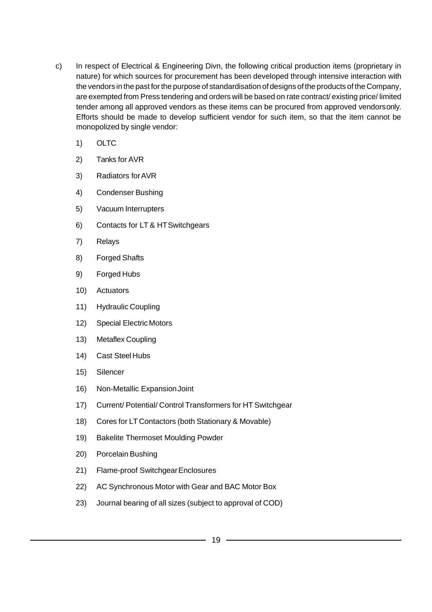- c) In respect of Electrical & Engineering Divn, the following critical production items (proprietary in nature) for which sources for procurement has been developed through intensive interaction with the vendors in the past forthe purpose of standardisation of designs of the products of the Company, are exempted from Press tendering and orders will be based on rate contract/ existing price/ limited tender among all approved vendors as these items can be procured from approved vendorsonly. Efforts should be made to develop sufficient vendor for such item, so that the item cannot be monopolized by single vendor:
	- 1) OLTC
	- 2) Tanks for AVR
	- 3) Radiators forAVR
	- 4) Condenser Bushing
	- 5) Vacuum Interrupters
	- 6) Contacts for LT & HTSwitchgears
	- 7) Relays
	- 8) Forged Shafts
	- 9) Forged Hubs
	- 10) Actuators
	- 11) Hydraulic Coupling
	- 12) Special Electric Motors
	- 13) Metaflex Coupling
	- 14) Cast Steel Hubs
	- 15) Silencer
	- 16) Non-Metallic ExpansionJoint
	- 17) Current/ Potential/ Control Transformers for HT Switchgear
	- 18) Cores for LT Contactors (both Stationary & Movable)
	- 19) Bakelite Thermoset Moulding Powder
	- 20) Porcelain Bushing
	- 21) Flame-proof Switchgear Enclosures
	- 22) AC Synchronous Motor with Gear and BAC Motor Box
	- 23) Journal bearing of all sizes (subject to approval of COD)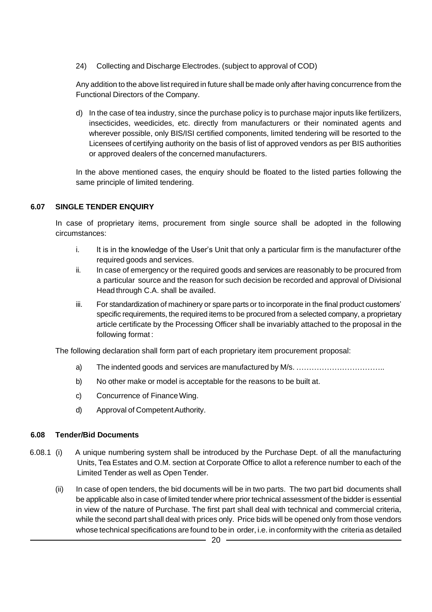24) Collecting and Discharge Electrodes. (subject to approval of COD)

Any addition to the above list required in future shall be made only after having concurrence from the Functional Directors of the Company.

d) In the case of tea industry, since the purchase policy is to purchase major inputs like fertilizers, insecticides, weedicides, etc. directly from manufacturers or their nominated agents and wherever possible, only BIS/ISI certified components, limited tendering will be resorted to the Licensees of certifying authority on the basis of list of approved vendors as per BIS authorities or approved dealers of the concerned manufacturers.

In the above mentioned cases, the enquiry should be floated to the listed parties following the same principle of limited tendering.

#### **6.07 SINGLE TENDER ENQUIRY**

In case of proprietary items, procurement from single source shall be adopted in the following circumstances:

- i. It is in the knowledge of the User's Unit that only a particular firm is the manufacturer of the required goods and services.
- ii. In case of emergency or the required goods and services are reasonably to be procured from a particular source and the reason for such decision be recorded and approval of Divisional Head through C.A. shall be availed.
- iii. For standardization of machinery or spare parts or to incorporate in the final product customers' specific requirements, the required items to be procured from a selected company, a proprietary article certificate by the Processing Officer shall be invariably attached to the proposal in the following format :

The following declaration shall form part of each proprietary item procurement proposal:

- a) The indented goods and services are manufactured by M/s. ……………………………..
- b) No other make or model is acceptable for the reasons to be built at.
- c) Concurrence of FinanceWing.
- d) Approval of Competent Authority.

#### **6.08 Tender/Bid Documents**

- 6.08.1 (i) A unique numbering system shall be introduced by the Purchase Dept. of all the manufacturing Units, Tea Estates and O.M. section at Corporate Office to allot a reference number to each of the Limited Tender as well as Open Tender.
	- (ii) In case of open tenders, the bid documents will be in two parts. The two part bid documents shall be applicable also in case of limited tender where prior technical assessment of the bidder is essential in view of the nature of Purchase. The first part shall deal with technical and commercial criteria, while the second part shall deal with prices only. Price bids will be opened only from those vendors whose technical specifications are found to be in order, i.e. in conformity with the criteria as detailed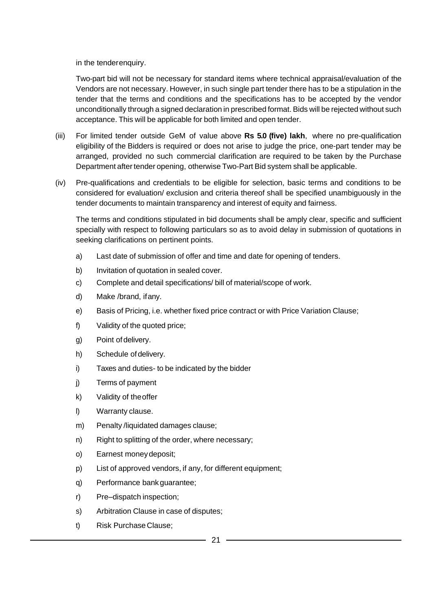in the tenderenquiry.

Two-part bid will not be necessary for standard items where technical appraisal/evaluation of the Vendors are not necessary. However, in such single part tender there has to be a stipulation in the tender that the terms and conditions and the specifications has to be accepted by the vendor unconditionally through a signed declaration in prescribed format. Bids will be rejected without such acceptance. This will be applicable for both limited and open tender.

- (iii) For limited tender outside GeM of value above **Rs 5.0 (five) lakh**, where no pre-qualification eligibility of the Bidders is required or does not arise to judge the price, one-part tender may be arranged, provided no such commercial clarification are required to be taken by the Purchase Department after tender opening, otherwise Two-Part Bid system shall be applicable.
- (iv) Pre-qualifications and credentials to be eligible for selection, basic terms and conditions to be considered for evaluation/ exclusion and criteria thereof shall be specified unambiguously in the tender documents to maintain transparency and interest of equity and fairness.

The terms and conditions stipulated in bid documents shall be amply clear, specific and sufficient specially with respect to following particulars so as to avoid delay in submission of quotations in seeking clarifications on pertinent points.

- a) Last date of submission of offer and time and date for opening of tenders.
- b) Invitation of quotation in sealed cover.
- c) Complete and detail specifications/ bill of material/scope of work.
- d) Make /brand, ifany.
- e) Basis of Pricing, i.e. whether fixed price contract or with Price Variation Clause;
- f) Validity of the quoted price;
- g) Point ofdelivery.
- h) Schedule of delivery.
- i) Taxes and duties- to be indicated by the bidder
- j) Terms of payment
- k) Validity of theoffer
- l) Warranty clause.
- m) Penalty /liquidated damages clause;
- n) Right to splitting of the order, where necessary;
- o) Earnest moneydeposit;
- p) List of approved vendors, if any, for different equipment;
- q) Performance bankguarantee;
- r) Pre–dispatch inspection;
- s) Arbitration Clause in case of disputes;
- t) Risk Purchase Clause;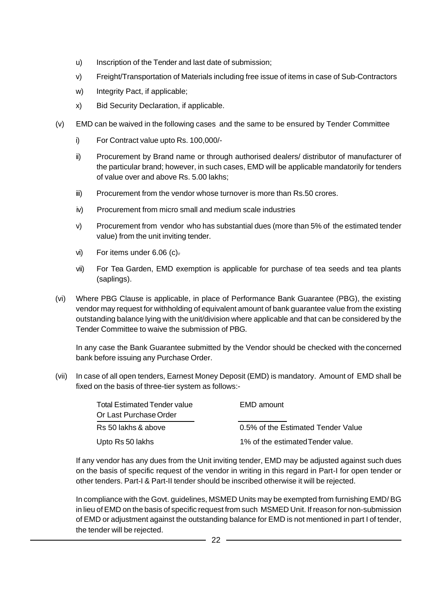- u) Inscription of the Tender and last date of submission;
- v) Freight/Transportation of Materials including free issue of items in case of Sub-Contractors
- w) Integrity Pact, if applicable;
- x) Bid Security Declaration, if applicable.
- (v) EMD can be waived in the following cases and the same to be ensured by Tender Committee
	- i) For Contract value upto Rs. 100,000/-
	- ii) Procurement by Brand name or through authorised dealers/ distributor of manufacturer of the particular brand; however, in such cases, EMD will be applicable mandatorily for tenders of value over and above Rs. 5.00 lakhs;
	- iii) Procurement from the vendor whose turnover is more than Rs.50 crores.
	- iv) Procurement from micro small and medium scale industries
	- v) Procurement from vendor who has substantial dues (more than 5% of the estimated tender value) from the unit inviting tender.
	- vi) For items under 6.06 (c).
	- vii) For Tea Garden, EMD exemption is applicable for purchase of tea seeds and tea plants (saplings).
- (vi) Where PBG Clause is applicable, in place of Performance Bank Guarantee (PBG), the existing vendor may request for withholding of equivalent amount of bank guarantee value from the existing outstanding balance lying with the unit/division where applicable and that can be considered by the Tender Committee to waive the submission of PBG.

In any case the Bank Guarantee submitted by the Vendor should be checked with the concerned bank before issuing any Purchase Order.

(vii) In case of all open tenders, Earnest Money Deposit (EMD) is mandatory. Amount of EMD shall be fixed on the basis of three-tier system as follows:-

| <b>Total Estimated Tender value</b> | EMD amount                         |
|-------------------------------------|------------------------------------|
| Or Last Purchase Order              |                                    |
| Rs 50 lakhs & above                 | 0.5% of the Estimated Tender Value |
| Upto Rs 50 lakhs                    | 1% of the estimated Tender value.  |

If any vendor has any dues from the Unit inviting tender, EMD may be adjusted against such dues on the basis of specific request of the vendor in writing in this regard in Part-I for open tender or other tenders. Part-I & Part-II tender should be inscribed otherwise it will be rejected.

In compliance with the Govt. guidelines, MSMED Units may be exempted from furnishing EMD/ BG in lieu ofEMD on the basis of specific request from such MSMED Unit. If reason for non-submission of EMD or adjustment against the outstanding balance for EMD is not mentioned in part I of tender, the tender will be rejected.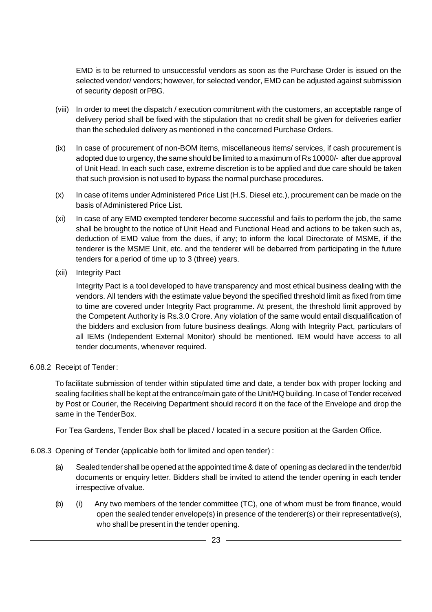EMD is to be returned to unsuccessful vendors as soon as the Purchase Order is issued on the selected vendor/ vendors; however, for selected vendor, EMD can be adjusted against submission of security deposit orPBG.

- (viii) In order to meet the dispatch / execution commitment with the customers, an acceptable range of delivery period shall be fixed with the stipulation that no credit shall be given for deliveries earlier than the scheduled delivery as mentioned in the concerned Purchase Orders.
- (ix) In case of procurement of non-BOM items, miscellaneous items/ services, if cash procurement is adopted due to urgency, the same should be limited to a maximum of Rs 10000/- after due approval of Unit Head. In each such case, extreme discretion is to be applied and due care should be taken that such provision is not used to bypass the normal purchase procedures.
- (x) In case of items under Administered Price List (H.S. Diesel etc.), procurement can be made on the basis of Administered Price List.
- (xi) In case of any EMD exempted tenderer become successful and fails to perform the job, the same shall be brought to the notice of Unit Head and Functional Head and actions to be taken such as, deduction of EMD value from the dues, if any; to inform the local Directorate of MSME, if the tenderer is the MSME Unit, etc. and the tenderer will be debarred from participating in the future tenders for a period of time up to 3 (three) years.
- (xii) Integrity Pact

Integrity Pact is a tool developed to have transparency and most ethical business dealing with the vendors. All tenders with the estimate value beyond the specified threshold limit as fixed from time to time are covered under Integrity Pact programme. At present, the threshold limit approved by the Competent Authority is Rs.3.0 Crore. Any violation of the same would entail disqualification of the bidders and exclusion from future business dealings. Along with Integrity Pact, particulars of all IEMs (Independent External Monitor) should be mentioned. IEM would have access to all tender documents, whenever required.

#### 6.08.2 Receipt of Tender:

To facilitate submission of tender within stipulated time and date, a tender box with proper locking and sealing facilities shall be kept at the entrance/main gate of the Unit/HQ building. In case ofTenderreceived by Post or Courier, the Receiving Department should record it on the face of the Envelope and drop the same in the TenderBox.

For Tea Gardens, Tender Box shall be placed / located in a secure position at the Garden Office.

6.08.3 Opening of Tender (applicable both for limited and open tender) :

- (a) Sealed tender shall be opened at the appointed time & date of opening as declared in the tender/bid documents or enquiry letter. Bidders shall be invited to attend the tender opening in each tender irrespective ofvalue.
- (b) (i) Any two members of the tender committee (TC), one of whom must be from finance, would open the sealed tender envelope(s) in presence of the tenderer(s) or their representative(s), who shall be present in the tender opening.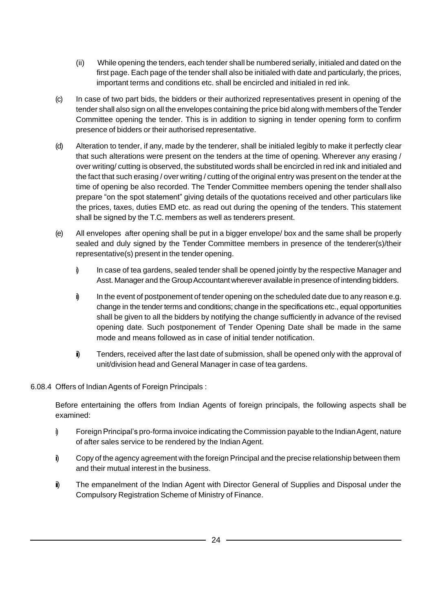- (ii) While opening the tenders, each tender shall be numbered serially, initialed and dated on the first page. Each page of the tender shall also be initialed with date and particularly, the prices, important terms and conditions etc. shall be encircled and initialed in red ink.
- (c) In case of two part bids, the bidders or their authorized representatives present in opening of the tender shall also sign on all the envelopes containing the price bid along with members of the Tender Committee opening the tender. This is in addition to signing in tender opening form to confirm presence of bidders or their authorised representative.
- (d) Alteration to tender, if any, made by the tenderer, shall be initialed legibly to make it perfectly clear that such alterations were present on the tenders at the time of opening. Wherever any erasing / over writing/ cutting is observed, the substituted words shall be encircled in red ink and initialed and the fact that such erasing / over writing / cutting of the original entry was present on the tender at the time of opening be also recorded. The Tender Committee members opening the tender shallalso prepare "on the spot statement" giving details of the quotations received and other particulars like the prices, taxes, duties EMD etc. as read out during the opening of the tenders. This statement shall be signed by the T.C. members as well as tenderers present.
- (e) All envelopes after opening shall be put in a bigger envelope/ box and the same shall be properly sealed and duly signed by the Tender Committee members in presence of the tenderer(s)/their representative(s) present in the tender opening.
	- i) In case of tea gardens, sealed tender shall be opened jointly by the respective Manager and Asst. Manager and the Group Accountant wherever available in presence of intending bidders.
	- i) In the event of postponement of tender opening on the scheduled date due to any reason e.g. change in the tender terms and conditions; change in the specifications etc., equal opportunities shall be given to all the bidders by notifying the change sufficiently in advance of the revised opening date. Such postponement of Tender Opening Date shall be made in the same mode and means followed as in case of initial tender notification.
	- i) Tenders, received after the last date of submission, shall be opened only with the approval of unit/division head and General Manager in case of tea gardens.

#### 6.08.4 Offers of Indian Agents of Foreign Principals :

Before entertaining the offers from Indian Agents of foreign principals, the following aspects shall be examined:

- i) Foreign Principal's pro-forma invoice indicating the Commission payable to the Indian Agent, nature of after sales service to be rendered by the Indian Agent.
- ii) Copy of the agency agreement with the foreign Principal and the precise relationship between them and their mutual interest in the business.
- $\ddot{\mathbf{i}}$  The empanelment of the Indian Agent with Director General of Supplies and Disposal under the Compulsory Registration Scheme of Ministry of Finance.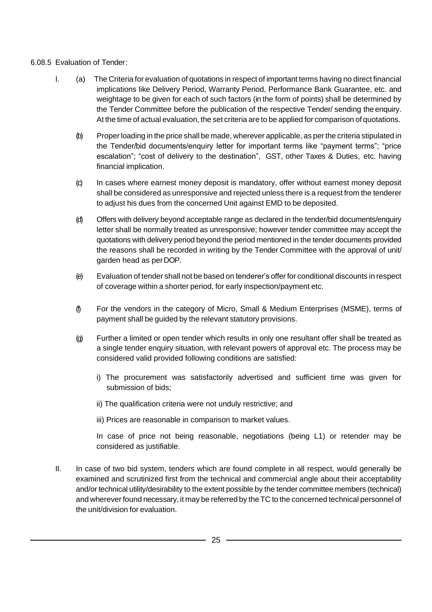#### 6.08.5 Evaluation of Tender:

- I. (a) The Criteria for evaluation of quotations in respect of important terms having no direct financial implications like Delivery Period, Warranty Period, Performance Bank Guarantee, etc. and weightage to be given for each of such factors (in the form of points) shall be determined by the Tender Committee before the publication of the respective Tender/ sending the enquiry. At the time of actual evaluation, the set criteria are to be applied for comparison of quotations.
	- (b) Properloading in the price shall be made, wherever applicable, as perthe criteria stipulated in the Tender/bid documents/enquiry letter for important terms like "payment terms"; "price escalation"; "cost of delivery to the destination", GST, other Taxes & Duties, etc. having financial implication.
	- (c) In cases where earnest money deposit is mandatory, offer without earnest money deposit shall be considered as unresponsive and rejected unless there is a request from the tenderer to adjust his dues from the concerned Unit against EMD to be deposited.
	- (d) Offers with delivery beyond acceptable range as declared in the tender/bid documents/enquiry letter shall be normally treated as unresponsive; however tender committee may accept the quotations with delivery period beyond the period mentioned in the tender documents provided the reasons shall be recorded in writing by the Tender Committee with the approval of unit/ garden head as perDOP.
	- (e) Evaluation of tender shall not be based on tenderer's offer for conditional discounts in respect of coverage within a shorter period, for early inspection/payment etc.
	- (f) For the vendors in the category of Micro, Small & Medium Enterprises (MSME), terms of payment shall be guided by the relevant statutory provisions.
	- (g) Further a limited or open tender which results in only one resultant offer shall be treated as a single tender enquiry situation, with relevant powers of approval etc. The process may be considered valid provided following conditions are satisfied:
		- i) The procurement was satisfactorily advertised and sufficient time was given for submission of bids;
		- ii) The qualification criteria were not unduly restrictive; and
		- iii) Prices are reasonable in comparison to market values.

In case of price not being reasonable, negotiations (being L1) or retender may be considered as justifiable.

II. In case of two bid system, tenders which are found complete in all respect, would generally be examined and scrutinized first from the technical and commercial angle about their acceptability and/or technical utility/desirability to the extent possible by the tender committee members (technical) and wherever found necessary, it may be referred by theTC to the concerned technical personnel of the unit/division for evaluation.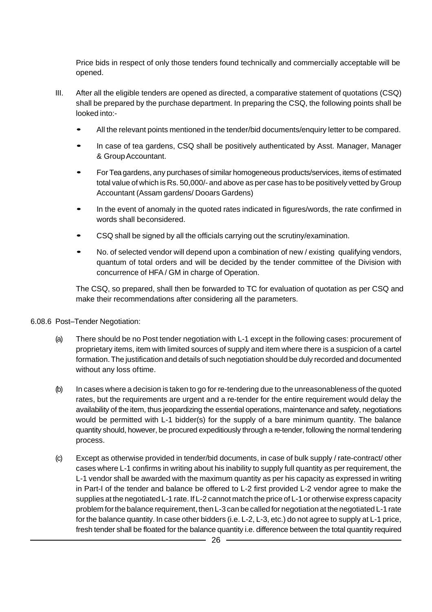Price bids in respect of only those tenders found technically and commercially acceptable will be opened.

- III. After all the eligible tenders are opened as directed, a comparative statement of quotations (CSQ) shall be prepared by the purchase department. In preparing the CSQ, the following points shall be looked into:-
	- All the relevant points mentioned in the tender/bid documents/enquiry letter to be compared.
	- In case of tea gardens, CSQ shall be positively authenticated by Asst. Manager, Manager & Group Accountant.
	- For Teagardens, any purchases of similar homogeneous products/services, items of estimated total value of which is Rs. 50,000/- and above as per case has to be positively vetted by Group Accountant (Assam gardens/ Dooars Gardens)
	- In the event of anomaly in the quoted rates indicated in figures/words, the rate confirmed in words shall beconsidered.
	- CSQ shall be signed by all the officials carrying out the scrutiny/examination.
	- No. of selected vendor will depend upon <sup>a</sup> combination of new / existing qualifying vendors, quantum of total orders and will be decided by the tender committee of the Division with concurrence of HFA/ GM in charge of Operation.

The CSQ, so prepared, shall then be forwarded to TC for evaluation of quotation as per CSQ and make their recommendations after considering all the parameters.

#### 6.08.6 Post–Tender Negotiation:

- (a) There should be no Post tender negotiation with L-1 except in the following cases: procurement of proprietary items, item with limited sources of supply and item where there is a suspicion of a cartel formation.The justification and details of such negotiation should be duly recorded and documented without any loss oftime.
- (b) In cases where a decision is taken to go for re-tendering due to the unreasonableness of the quoted rates, but the requirements are urgent and a re-tender for the entire requirement would delay the availability of the item, thus jeopardizing the essential operations, maintenance and safety, negotiations would be permitted with L-1 bidder(s) for the supply of a bare minimum quantity. The balance quantity should, however, be procured expeditiously through a re-tender, following the normal tendering process.
- (c) Except as otherwise provided in tender/bid documents, in case of bulk supply / rate-contract/ other cases where L-1 confirms in writing about his inability to supply full quantity as per requirement, the L-1 vendor shall be awarded with the maximum quantity as per his capacity as expressed in writing in Part-I of the tender and balance be offered to L-2 first provided L-2 vendor agree to make the supplies at the negotiated L-1 rate. If L-2 cannot match the price of L-1 or otherwise express capacity problem forthe balance requirement, then L-3 can be called for negotiation at the negotiated L-1 rate for the balance quantity. In case other bidders (i.e. L-2, L-3, etc.) do not agree to supply at L-1 price, fresh tender shall be floated for the balance quantity i.e. difference between the total quantity required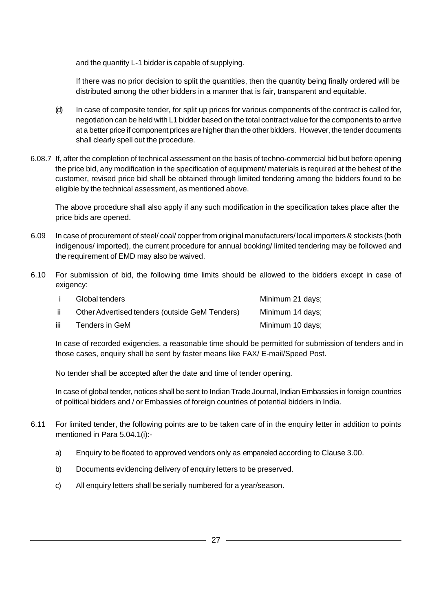and the quantity L-1 bidder is capable of supplying.

If there was no prior decision to split the quantities, then the quantity being finally ordered will be distributed among the other bidders in a manner that is fair, transparent and equitable.

- (d) In case of composite tender, for split up prices for various components of the contract is called for, negotiation can be held with L1 bidder based on the total contract value for the components to arrive at a better price if component prices are higher than the other bidders. However, the tender documents shall clearly spell out the procedure.
- 6.08.7 If, after the completion of technical assessment on the basis of techno-commercial bid but before opening the price bid, any modification in the specification of equipment/ materials is required at the behest of the customer, revised price bid shall be obtained through limited tendering among the bidders found to be eligible by the technical assessment, as mentioned above.

The above procedure shall also apply if any such modification in the specification takes place after the price bids are opened.

- 6.09 In case of procurement of steel/ coal/ copper from original manufacturers/ local importers & stockists (both indigenous/ imported), the current procedure for annual booking/ limited tendering may be followed and the requirement of EMD may also be waived.
- 6.10 For submission of bid, the following time limits should be allowed to the bidders except in case of exigency:

|      | Global tenders                                 | Minimum 21 days; |
|------|------------------------------------------------|------------------|
| -ii  | Other Advertised tenders (outside GeM Tenders) | Minimum 14 days; |
| iii. | Tenders in GeM                                 | Minimum 10 days: |

In case of recorded exigencies, a reasonable time should be permitted for submission of tenders and in those cases, enquiry shall be sent by faster means like FAX/ E-mail/Speed Post.

No tender shall be accepted after the date and time of tender opening.

In case of global tender, notices shall be sent to Indian Trade Journal, Indian Embassies in foreign countries of political bidders and / or Embassies of foreign countries of potential bidders in India.

- 6.11 For limited tender, the following points are to be taken care of in the enquiry letter in addition to points mentioned in Para 5.04.1(i):
	- a) Enquiry to be floated to approved vendors only as empaneled according to Clause 3.00.
	- b) Documents evidencing delivery of enquiry letters to be preserved.
	- c) All enquiry letters shall be serially numbered for a year/season.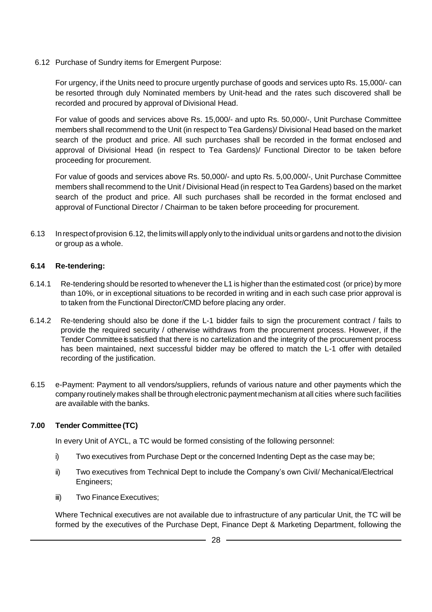6.12 Purchase of Sundry items for Emergent Purpose:

For urgency, if the Units need to procure urgently purchase of goods and services upto Rs. 15,000/- can be resorted through duly Nominated members by Unit-head and the rates such discovered shall be recorded and procured by approval of Divisional Head.

For value of goods and services above Rs. 15,000/- and upto Rs. 50,000/-, Unit Purchase Committee members shall recommend to the Unit (in respect to Tea Gardens)/ Divisional Head based on the market search of the product and price. All such purchases shall be recorded in the format enclosed and approval of Divisional Head (in respect to Tea Gardens)/ Functional Director to be taken before proceeding for procurement.

For value of goods and services above Rs. 50,000/- and upto Rs. 5,00,000/-, Unit Purchase Committee members shall recommend to the Unit / Divisional Head (in respect to Tea Gardens) based on the market search of the product and price. All such purchases shall be recorded in the format enclosed and approval of Functional Director / Chairman to be taken before proceeding for procurement.

6.13 Inrespectofprovision 6.12, thelimitswill applyonly totheindividual units orgardens andnottothe division or group as a whole.

#### **6.14 Re-tendering:**

- 6.14.1 Re-tendering should be resorted to whenever the L1 is higher than the estimated cost (or price) by more than 10%, or in exceptional situations to be recorded in writing and in each such case prior approval is to taken from the Functional Director/CMD before placing any order.
- 6.14.2 Re-tendering should also be done if the L-1 bidder fails to sign the procurement contract / fails to provide the required security / otherwise withdraws from the procurement process. However, if the Tender Committee is satisfied that there is no cartelization and the integrity of the procurement process has been maintained, next successful bidder may be offered to match the L-1 offer with detailed recording of the justification.
- 6.15 e-Payment: Payment to all vendors/suppliers, refunds of various nature and other payments which the company routinely makes shall be through electronic payment mechanism at all cities where such facilities are available with the banks.

#### **7.00 Tender Committee (TC)**

In every Unit of AYCL, a TC would be formed consisting of the following personnel:

- i) Two executives from Purchase Dept or the concerned Indenting Dept as the case may be;
- ii) Two executives from Technical Dept to include the Company's own Civil/ Mechanical/Electrical Engineers;
- iii) Two Finance Executives;

Where Technical executives are not available due to infrastructure of any particular Unit, the TC will be formed by the executives of the Purchase Dept, Finance Dept & Marketing Department, following the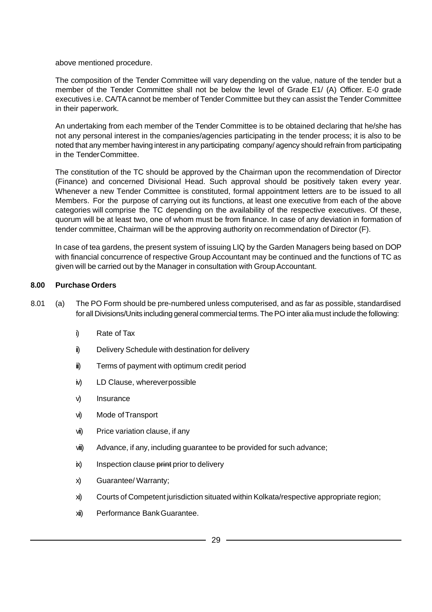above mentioned procedure.

The composition of the Tender Committee will vary depending on the value, nature of the tender but a member of the Tender Committee shall not be below the level of Grade E1/ (A) Officer. E-0 grade executives i.e. CA/TAcannot be member of Tender Committee but they can assist the Tender Committee in their paperwork.

An undertaking from each member of the Tender Committee is to be obtained declaring that he/she has not any personal interest in the companies/agencies participating in the tender process; it is also to be noted that any member having interest in any participating company/ agency should refrain from participating in the TenderCommittee.

The constitution of the TC should be approved by the Chairman upon the recommendation of Director (Finance) and concerned Divisional Head. Such approval should be positively taken every year. Whenever a new Tender Committee is constituted, formal appointment letters are to be issued to all Members. For the purpose of carrying out its functions, at least one executive from each of the above categories will comprise the TC depending on the availability of the respective executives. Of these, quorum will be at least two, one of whom must be from finance. In case of any deviation in formation of tender committee, Chairman will be the approving authority on recommendation of Director (F).

In case of tea gardens, the present system of issuing LIQ by the Garden Managers being based on DOP with financial concurrence of respective Group Accountant may be continued and the functions of TC as given will be carried out by the Manager in consultation with GroupAccountant.

#### **8.00 Purchase Orders**

- 8.01 (a) The PO Form should be pre-numbered unless computerised, and as far as possible, standardised for all Divisions/Units including general commercial terms. The PO inter alia must include the following:
	- i) Rate of Tax
	- ii) Delivery Schedule with destination for delivery
	- iii) Terms of payment with optimum credit period
	- iv) LD Clause, whereverpossible
	- v) Insurance
	- vi) Mode ofTransport
	- vii) Price variation clause, if any
	- viii) Advance, if any, including guarantee to be provided for such advance;
	- ix) Inspection clause print prior to delivery
	- x) Guarantee/ Warranty;
	- xi) Courts of Competent jurisdiction situated within Kolkata/respective appropriate region;
	- xii) Performance BankGuarantee.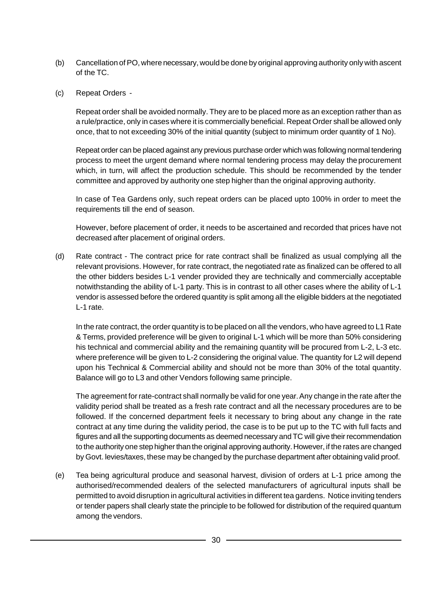- (b) Cancellation of PO, where necessary, would be done by original approving authority only with ascent of the TC.
- (c) Repeat Orders -

Repeat order shall be avoided normally. They are to be placed more as an exception rather than as a rule/practice, only in cases where it is commercially beneficial. Repeat Order shall be allowed only once, that to not exceeding 30% of the initial quantity (subject to minimum order quantity of 1 No).

Repeat order can be placed against any previous purchase order which was following normal tendering process to meet the urgent demand where normal tendering process may delay the procurement which, in turn, will affect the production schedule. This should be recommended by the tender committee and approved by authority one step higher than the original approving authority.

In case of Tea Gardens only, such repeat orders can be placed upto 100% in order to meet the requirements till the end of season.

However, before placement of order, it needs to be ascertained and recorded that prices have not decreased after placement of original orders.

(d) Rate contract - The contract price for rate contract shall be finalized as usual complying all the relevant provisions. However, for rate contract, the negotiated rate as finalized can be offered to all the other bidders besides L-1 vender provided they are technically and commercially acceptable notwithstanding the ability of L-1 party. This is in contrast to all other cases where the ability of L-1 vendor is assessed before the ordered quantity is split among all the eligible bidders at the negotiated L-1 rate.

In the rate contract, the order quantity is to be placed on all the vendors, who have agreed to L1 Rate & Terms, provided preference will be given to original L-1 which will be more than 50% considering his technical and commercial ability and the remaining quantity will be procured from L-2, L-3 etc. where preference will be given to L-2 considering the original value. The quantity for L2 will depend upon his Technical & Commercial ability and should not be more than 30% of the total quantity. Balance will go to L3 and other Vendors following same principle.

The agreement for rate-contract shall normally be valid for one year.Any change in the rate after the validity period shall be treated as a fresh rate contract and all the necessary procedures are to be followed. If the concerned department feels it necessary to bring about any change in the rate contract at any time during the validity period, the case is to be put up to the TC with full facts and figures and all the supporting documents as deemed necessary and TC will give their recommendation to the authority one step higher than the original approving authority. However, if the rates are changed by Govt. levies/taxes, these may be changed by the purchase department after obtaining valid proof.

(e) Tea being agricultural produce and seasonal harvest, division of orders at L-1 price among the authorised/recommended dealers of the selected manufacturers of agricultural inputs shall be permitted to avoid disruption in agricultural activities in different tea gardens. Notice inviting tenders or tender papers shall clearly state the principle to be followed for distribution of the required quantum among the vendors.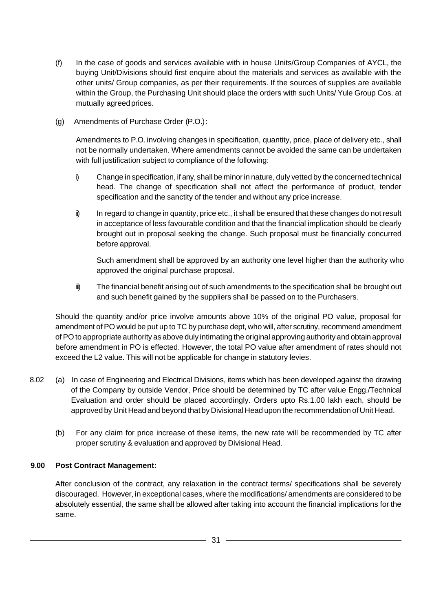- (f) In the case of goods and services available with in house Units/Group Companies of AYCL, the buying Unit/Divisions should first enquire about the materials and services as available with the other units/ Group companies, as per their requirements. If the sources of supplies are available within the Group, the Purchasing Unit should place the orders with such Units/ Yule Group Cos. at mutually agreedprices.
- (g) Amendments of Purchase Order (P.O.):

Amendments to P.O. involving changes in specification, quantity, price, place of delivery etc., shall not be normally undertaken. Where amendments cannot be avoided the same can be undertaken with full justification subject to compliance of the following:

- i) Change in specification, if any, shall be minorin nature, duly vetted by the concerned technical head. The change of specification shall not affect the performance of product, tender specification and the sanctity of the tender and without any price increase.
- i) In regard to change in quantity, price etc., it shall be ensured that these changes do not result in acceptance of less favourable condition and that the financial implication should be clearly brought out in proposal seeking the change. Such proposal must be financially concurred before approval.

Such amendment shall be approved by an authority one level higher than the authority who approved the original purchase proposal.

 $\mathbf{i}$  The financial benefit arising out of such amendments to the specification shall be brought out and such benefit gained by the suppliers shall be passed on to the Purchasers.

Should the quantity and/or price involve amounts above 10% of the original PO value, proposal for amendment of PO would be put up to TC by purchase dept, who will, after scrutiny, recommend amendment ofPOto appropriate authority as above duly intimating the original approving authority and obtain approval before amendment in PO is effected. However, the total PO value after amendment of rates should not exceed the L2 value. This will not be applicable for change in statutory levies.

- 8.02 (a) In case of Engineering and Electrical Divisions, items which has been developed against the drawing of the Company by outside Vendor, Price should be determined by TC after value Engg./Technical Evaluation and order should be placed accordingly. Orders upto Rs.1.00 lakh each, should be approved by Unit Head and beyond that by Divisional Head upon the recommendation of Unit Head.
	- (b) For any claim for price increase of these items, the new rate will be recommended by TC after proper scrutiny & evaluation and approved by Divisional Head.

#### **9.00 Post Contract Management:**

After conclusion of the contract, any relaxation in the contract terms/ specifications shall be severely discouraged. However, in exceptional cases, where the modifications/ amendments are considered to be absolutely essential, the same shall be allowed after taking into account the financial implications for the same.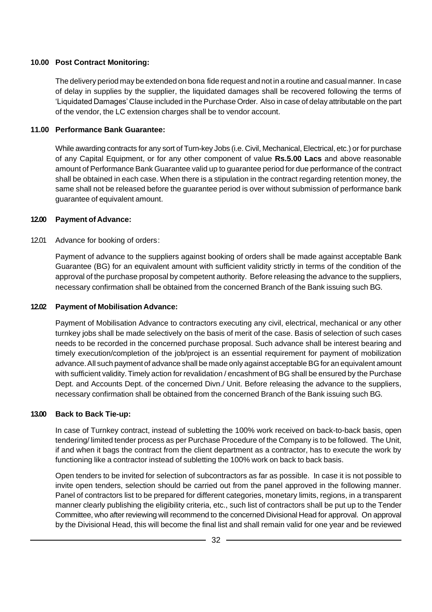#### **10.00 Post Contract Monitoring:**

The delivery period may be extended on bona fide request and not in a routine and casual manner. In case of delay in supplies by the supplier, the liquidated damages shall be recovered following the terms of 'Liquidated Damages' Clause included in the Purchase Order. Also in case of delay attributable on the part of the vendor, the LC extension charges shall be to vendor account.

#### **11.00 Performance Bank Guarantee:**

While awarding contracts for any sort of Turn-key Jobs (i.e. Civil, Mechanical, Electrical, etc.) or for purchase of any Capital Equipment, or for any other component of value **Rs.5.00 Lacs** and above reasonable amount of Performance Bank Guarantee valid up to guarantee period for due performance of the contract shall be obtained in each case. When there is a stipulation in the contract regarding retention money, the same shall not be released before the guarantee period is over without submission of performance bank guarantee of equivalent amount.

#### **12.00 Payment of Advance:**

#### 12.01 Advance for booking of orders:

Payment of advance to the suppliers against booking of orders shall be made against acceptable Bank Guarantee (BG) for an equivalent amount with sufficient validity strictly in terms of the condition of the approval of the purchase proposal by competent authority. Before releasing the advance to the suppliers, necessary confirmation shall be obtained from the concerned Branch of the Bank issuing such BG.

#### **12.02 Payment of Mobilisation Advance:**

Payment of Mobilisation Advance to contractors executing any civil, electrical, mechanical or any other turnkey jobs shall be made selectively on the basis of merit of the case. Basis of selection of such cases needs to be recorded in the concerned purchase proposal. Such advance shall be interest bearing and timely execution/completion of the job/project is an essential requirement for payment of mobilization advance. All such payment of advance shall be made only against acceptable BG for an equivalent amount with sufficient validity.Timely action for revalidation / encashment of BG shall be ensured by the Purchase Dept. and Accounts Dept. of the concerned Divn./ Unit. Before releasing the advance to the suppliers, necessary confirmation shall be obtained from the concerned Branch of the Bank issuing such BG.

#### **13.00 Back to Back Tie-up:**

In case of Turnkey contract, instead of subletting the 100% work received on back-to-back basis, open tendering/ limited tender process as per Purchase Procedure of the Company is to be followed. The Unit, if and when it bags the contract from the client department as a contractor, has to execute the work by functioning like a contractor instead of subletting the 100% work on back to back basis.

Open tenders to be invited for selection of subcontractors as far as possible. In case it is not possible to invite open tenders, selection should be carried out from the panel approved in the following manner. Panel of contractors list to be prepared for different categories, monetary limits, regions, in a transparent manner clearly publishing the eligibility criteria, etc., such list of contractors shall be put up to the Tender Committee, who after reviewing will recommend to the concerned Divisional Head for approval. On approval by the Divisional Head, this will become the final list and shall remain valid for one year and be reviewed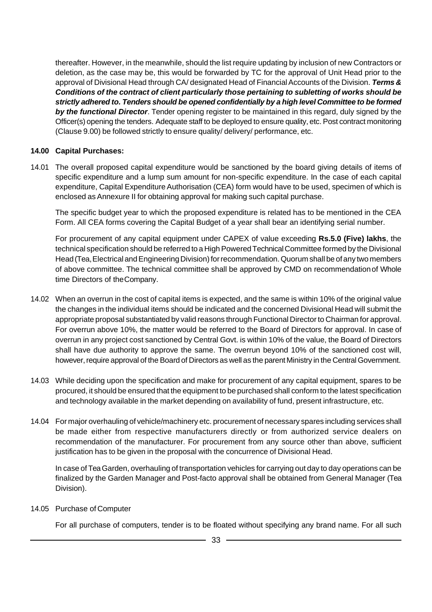thereafter. However, in the meanwhile, should the list require updating by inclusion of new Contractors or deletion, as the case may be, this would be forwarded by TC for the approval of Unit Head prior to the approval of Divisional Head through CA/ designated Head of Financial Accounts of the Division. **Terms &** *Conditions of the contract of client particularly those pertaining to subletting of works should be strictly adhered to. Tenders should be opened confidentially by a high level Committee to be formed by the functional Director*. Tender opening register to be maintained in this regard, duly signed by the Officer(s) opening the tenders. Adequate staff to be deployed to ensure quality, etc. Post contract monitoring (Clause 9.00) be followed strictly to ensure quality/ delivery/ performance, etc.

#### **14.00 Capital Purchases:**

14.01 The overall proposed capital expenditure would be sanctioned by the board giving details of items of specific expenditure and a lump sum amount for non-specific expenditure. In the case of each capital expenditure, Capital Expenditure Authorisation (CEA) form would have to be used, specimen of which is enclosed as Annexure II for obtaining approval for making such capital purchase.

The specific budget year to which the proposed expenditure is related has to be mentioned in the CEA Form. All CEA forms covering the Capital Budget of a year shall bear an identifying serial number.

For procurement of any capital equipment under CAPEX of value exceeding **Rs.5.0 (Five) lakhs**, the technical specification should be referred to a High Powered Technical Committee formed by the Divisional Head (Tea, Electrical and Engineering Division) for recommendation. Quorum shall be of any two members of above committee. The technical committee shall be approved by CMD on recommendationof Whole time Directors of theCompany.

- 14.02 When an overrun in the cost of capital items is expected, and the same is within 10% of the original value the changes in the individual items should be indicated and the concerned Divisional Head will submit the appropriate proposal substantiated by valid reasons through Functional Director to Chairman for approval. For overrun above 10%, the matter would be referred to the Board of Directors for approval. In case of overrun in any project cost sanctioned by Central Govt. is within 10% of the value, the Board of Directors shall have due authority to approve the same. The overrun beyond 10% of the sanctioned cost will, however, require approval of the Board of Directors as well as the parent Ministry in the Central Government.
- 14.03 While deciding upon the specification and make for procurement of any capital equipment, spares to be procured, it should be ensured that the equipment to be purchased shall conform to the latest specification and technology available in the market depending on availability of fund, present infrastructure, etc.
- 14.04 For major overhauling of vehicle/machinery etc. procurement of necessary spares including services shall be made either from respective manufacturers directly or from authorized service dealers on recommendation of the manufacturer. For procurement from any source other than above, sufficient justification has to be given in the proposal with the concurrence of Divisional Head.

In case of TeaGarden, overhauling of transportation vehicles for carrying out day to day operations can be finalized by the Garden Manager and Post-facto approval shall be obtained from General Manager (Tea Division).

14.05 Purchase of Computer

For all purchase of computers, tender is to be floated without specifying any brand name. For all such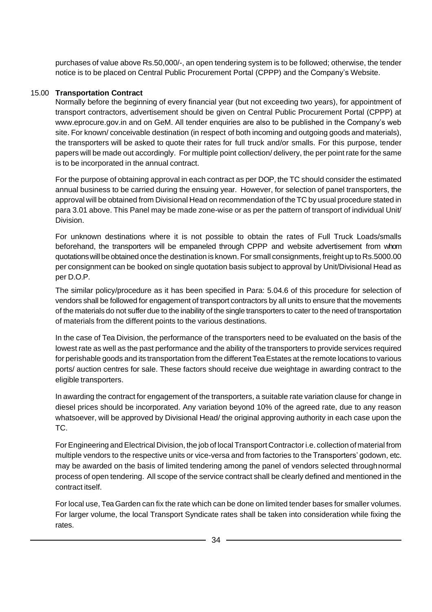purchases of value above Rs.50,000/-, an open tendering system is to be followed; otherwise, the tender notice is to be placed on Central Public Procurement Portal (CPPP) and the Company's Website.

#### 15.00 **Transportation Contract**

Normally before the beginning of every financial year (but not exceeding two years), for appointment of transport contractors, advertisement should be given on Central Public Procurement Portal (CPPP) at www.eprocure.gov.in and on GeM. All tender enquiries are also to be published in the Company's web site. For known/ conceivable destination (in respect of both incoming and outgoing goods and materials), the transporters will be asked to quote their rates for full truck and/or smalls. For this purpose, tender papers will be made out accordingly. For multiple point collection/ delivery, the per point rate for the same is to be incorporated in the annual contract.

For the purpose of obtaining approval in each contract as per DOP, the TC should consider the estimated annual business to be carried during the ensuing year. However, for selection of panel transporters, the approval will be obtained from Divisional Head on recommendation of the TC by usual procedure stated in para 3.01 above. This Panel may be made zone-wise or as per the pattern of transport of individual Unit/ Division.

For unknown destinations where it is not possible to obtain the rates of Full Truck Loads/smalls beforehand, the transporters will be empaneled through CPPP and website advertisement from whom quotationswill beobtained once the destination is known. For small consignments, freight up to Rs.5000.00 per consignment can be booked on single quotation basis subject to approval by Unit/Divisional Head as per D.O.P.

The similar policy/procedure as it has been specified in Para: 5.04.6 of this procedure for selection of vendors shall be followed for engagement of transport contractors by all units to ensure that the movements of the materials do not suffer due to the inability of the single transporters to cater to the need of transportation of materials from the different points to the various destinations.

In the case of Tea Division, the performance of the transporters need to be evaluated on the basis of the lowest rate as well as the past performance and the ability of the transporters to provide services required for perishable goods and its transportation from the different Tea Estates at the remote locations to various ports/ auction centres for sale. These factors should receive due weightage in awarding contract to the eligible transporters.

In awarding the contract for engagement of the transporters, a suitable rate variation clause for change in diesel prices should be incorporated. Any variation beyond 10% of the agreed rate, due to any reason whatsoever, will be approved by Divisional Head/ the original approving authority in each case upon the TC.

ForEngineering andElectrical Division, the job of local Transport Contractori.e. collection of material from multiple vendors to the respective units or vice-versa and from factories to the Transporters' godown, etc. may be awarded on the basis of limited tendering among the panel of vendors selected throughnormal process of open tendering. All scope of the service contract shall be clearly defined and mentioned in the contract itself.

For local use, TeaGarden can fix the rate which can be done on limited tender bases for smaller volumes. For larger volume, the local Transport Syndicate rates shall be taken into consideration while fixing the rates.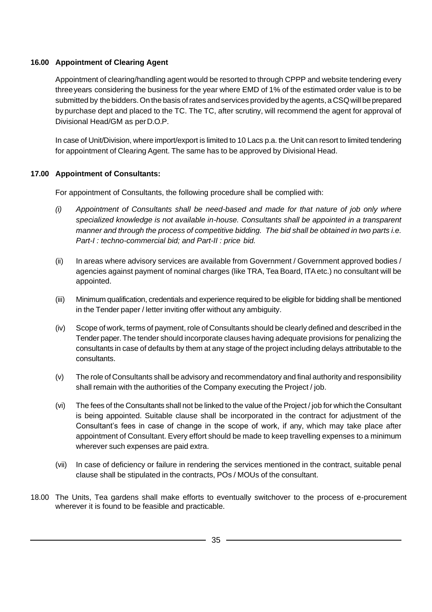#### **16.00 Appointment of Clearing Agent**

Appointment of clearing/handling agent would be resorted to through CPPP and website tendering every threeyears considering the business for the year where EMD of 1% of the estimated order value is to be submitted by the bidders. On the basis of rates and services provided by the agents, a CSQ will be prepared by purchase dept and placed to the TC. The TC, after scrutiny, will recommend the agent for approval of Divisional Head/GM as perD.O.P.

In case of Unit/Division, where import/export is limited to 10 Lacs p.a. the Unit can resort to limited tendering for appointment of Clearing Agent. The same has to be approved by Divisional Head.

#### **17.00 Appointment of Consultants:**

For appointment of Consultants, the following procedure shall be complied with:

- *(i) Appointment of Consultants shall be need-based and made for that nature of job only where specialized knowledge is not available in-house. Consultants shall be appointed in a transparent manner and through the process of competitive bidding. The bid shall be obtained in two parts i.e. Part-I : techno-commercial bid; and Part-II : price bid.*
- (ii) In areas where advisory services are available from Government / Government approved bodies / agencies against payment of nominal charges (like TRA, Tea Board, ITAetc.) no consultant will be appointed.
- (iii) Minimum qualification, credentials and experience required to be eligible for bidding shall be mentioned in the Tender paper / letter inviting offer without any ambiguity.
- (iv) Scope of work, terms of payment, role of Consultants should be clearly defined and described in the Tender paper.The tender should incorporate clauses having adequate provisions for penalizing the consultants in case of defaults by them at any stage of the project including delays attributable to the consultants.
- (v) The role of Consultants shall be advisory and recommendatory and final authority and responsibility shall remain with the authorities of the Company executing the Project / job.
- (vi) The fees of the Consultants shall not be linked to the value of the Project / job for which the Consultant is being appointed. Suitable clause shall be incorporated in the contract for adjustment of the Consultant's fees in case of change in the scope of work, if any, which may take place after appointment of Consultant. Every effort should be made to keep travelling expenses to a minimum wherever such expenses are paid extra.
- (vii) In case of deficiency or failure in rendering the services mentioned in the contract, suitable penal clause shall be stipulated in the contracts, POs / MOUs of the consultant.
- 18.00 The Units, Tea gardens shall make efforts to eventually switchover to the process of e-procurement wherever it is found to be feasible and practicable.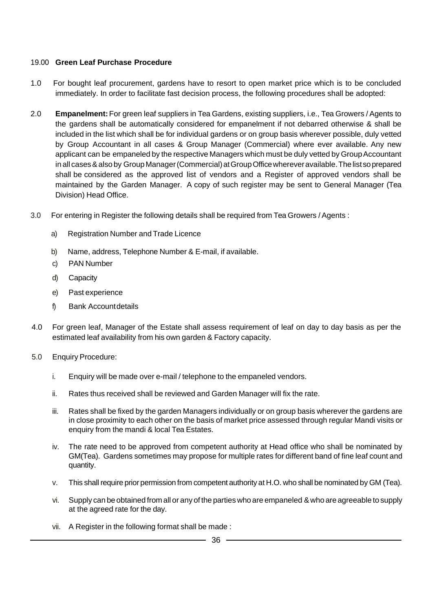#### 19.00 **Green Leaf Purchase Procedure**

- 1.0 For bought leaf procurement, gardens have to resort to open market price which is to be concluded immediately. In order to facilitate fast decision process, the following procedures shall be adopted:
- 2.0 **Empanelment:**For green leaf suppliers in Tea Gardens, existing suppliers, i.e., Tea Growers /Agents to the gardens shall be automatically considered for empanelment if not debarred otherwise & shall be included in the list which shall be for individual gardens or on group basis wherever possible, duly vetted by Group Accountant in all cases & Group Manager (Commercial) where ever available. Any new applicant can be empaneled by the respective Managers which must be duly vetted by Group Accountant in all cases & also by Group Manager (Commercial) at Group Office wherever available. The list so prepared shall be considered as the approved list of vendors and a Register of approved vendors shall be maintained by the Garden Manager. A copy of such register may be sent to General Manager (Tea Division) Head Office.
- 3.0 For entering in Register the following details shall be required from Tea Growers /Agents :
	- a) Registration Number and Trade Licence
	- b) Name, address, Telephone Number & E-mail, if available.
	- c) PAN Number
	- d) Capacity
	- e) Past experience
	- f) Bank Accountdetails
- 4.0 For green leaf, Manager of the Estate shall assess requirement of leaf on day to day basis as per the estimated leaf availability from his own garden & Factory capacity.
- 5.0 Enquiry Procedure:
	- i. Enquiry will be made over e-mail / telephone to the empaneled vendors.
	- ii. Rates thus received shall be reviewed and Garden Manager will fix the rate.
	- iii. Rates shall be fixed by the garden Managers individually or on group basis wherever the gardens are in close proximity to each other on the basis of market price assessed through regular Mandi visits or enquiry from the mandi & local Tea Estates.
	- iv. The rate need to be approved from competent authority at Head office who shall be nominated by GM(Tea). Gardens sometimes may propose for multiple rates for different band of fine leaf count and quantity.
	- v. This shall require prior permission from competent authority at H.O. who shall be nominated by GM (Tea).
	- vi. Supply can be obtained from all or any of the parties who are empaneled &who are agreeable to supply at the agreed rate for the day.
	- vii. A Register in the following format shall be made :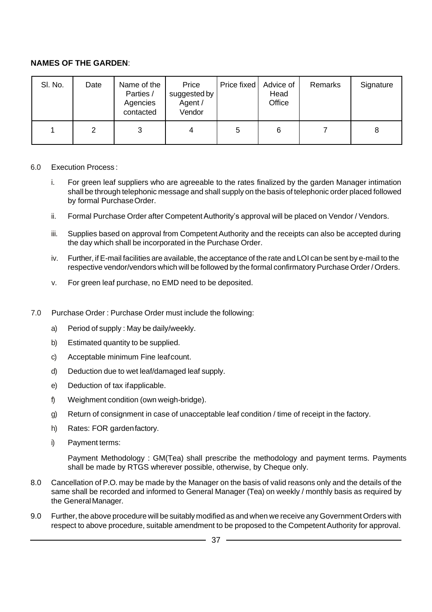#### **NAMES OF THE GARDEN**:

| SI. No. | Date | Name of the<br>Parties /<br>Agencies<br>contacted | Price<br>suggested by<br>Agent /<br>Vendor | Price fixed | Advice of<br>Head<br>Office | Remarks | Signature |
|---------|------|---------------------------------------------------|--------------------------------------------|-------------|-----------------------------|---------|-----------|
|         | 2    | 3                                                 | 4                                          | 5           | 6                           |         | 8         |

#### 6.0 Execution Process :

- i. For green leaf suppliers who are agreeable to the rates finalized by the garden Manager intimation shall be through telephonic message and shall supply on the basis of telephonic order placed followed by formal PurchaseOrder.
- ii. Formal Purchase Order after Competent Authority's approval will be placed on Vendor / Vendors.
- iii. Supplies based on approval from Competent Authority and the receipts can also be accepted during the day which shall be incorporated in the Purchase Order.
- iv. Further, ifE-mail facilities are available, the acceptance of the rate and LOI can be sent by e-mail to the respective vendor/vendors which will be followed by the formal confirmatory Purchase Order / Orders.
- v. For green leaf purchase, no EMD need to be deposited.
- 7.0 Purchase Order : Purchase Order must include the following:
	- a) Period of supply : May be daily/weekly.
	- b) Estimated quantity to be supplied.
	- c) Acceptable minimum Fine leafcount.
	- d) Deduction due to wet leaf/damaged leaf supply.
	- e) Deduction of tax ifapplicable.
	- f) Weighment condition (own weigh-bridge).
	- g) Return of consignment in case of unacceptable leaf condition / time of receipt in the factory.
	- h) Rates: FOR gardenfactory.
	- i) Payment terms:

Payment Methodology : GM(Tea) shall prescribe the methodology and payment terms. Payments shall be made by RTGS wherever possible, otherwise, by Cheque only.

- 8.0 Cancellation of P.O. may be made by the Manager on the basis of valid reasons only and the details of the same shall be recorded and informed to General Manager (Tea) on weekly / monthly basis as required by the GeneralManager.
- 9.0 Further, the above procedure will be suitably modified as and when we receive any Government Orders with respect to above procedure, suitable amendment to be proposed to the Competent Authority for approval.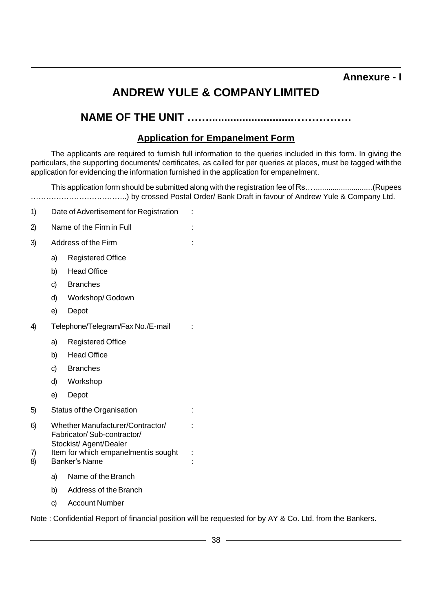#### **Annexure - I**

## **ANDREW YULE & COMPANYLIMITED**

## **NAME OF THE UNIT ……............................…………….**

#### **Application for Empanelment Form**

The applicants are required to furnish full information to the queries included in this form. In giving the particulars, the supporting documents/ certificates, as called for per queries at places, must be tagged with the application for evidencing the information furnished in the application for empanelment.

This application form should be submitted along with the registration fee of Rs…............................(Rupees ………………………………..) by crossed Postal Order/ Bank Draft in favour of Andrew Yule & Company Ltd.

- 1) Date of Advertisement for Registration :
- 2) Name of the Firm in Full  $\qquad \qquad$ :
- 3) Address of the Firm :
	- a) Registered Office
	- b) Head Office
	- c) Branches
	- d) Workshop/ Godown
	- e) Depot
- 4) Telephone/Telegram/Fax No./E-mail :
	- a) Registered Office
	- b) Head Office
	- c) Branches
	- d) Workshop
	- e) Depot
- 5) Status of the Organisation :
- 6) Whether Manufacturer/Contractor/ : Fabricator/ Sub-contractor/ Stockist/ Agent/Dealer
- 7) Item for which empanelment is sought :
- 8) Banker's Name
	- a) Name of the Branch
	- b) Address of the Branch
	- c) Account Number

Note : Confidential Report of financial position will be requested for by AY & Co. Ltd. from the Bankers.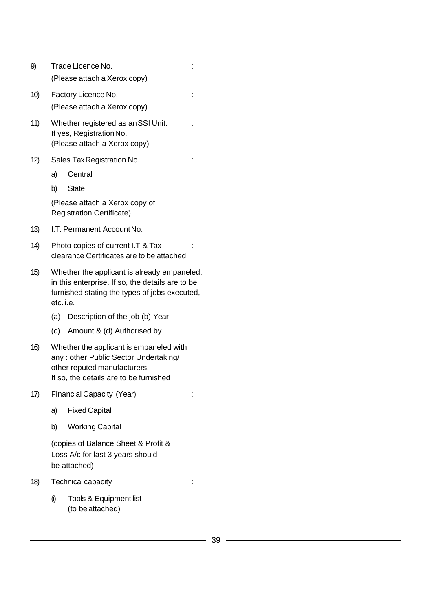| 9)  |           | Trade Licence No.<br>(Please attach a Xerox copy)                                                                                                          |  |
|-----|-----------|------------------------------------------------------------------------------------------------------------------------------------------------------------|--|
| 10) |           | Factory Licence No.<br>(Please attach a Xerox copy)                                                                                                        |  |
| 11) |           | Whether registered as an SSI Unit.<br>If yes, Registration No.<br>(Please attach a Xerox copy)                                                             |  |
| 12) |           | Sales Tax Registration No.                                                                                                                                 |  |
|     | a)        | Central                                                                                                                                                    |  |
|     | b)        | <b>State</b>                                                                                                                                               |  |
|     |           | (Please attach a Xerox copy of<br><b>Registration Certificate)</b>                                                                                         |  |
| 13) |           | I.T. Permanent Account No.                                                                                                                                 |  |
| 14) |           | Photo copies of current I.T.& Tax<br>clearance Certificates are to be attached                                                                             |  |
| 15) | etc. i.e. | Whether the applicant is already empaneled:<br>in this enterprise. If so, the details are to be<br>furnished stating the types of jobs executed,           |  |
|     | (a)       | Description of the job (b) Year                                                                                                                            |  |
|     | (c)       | Amount & (d) Authorised by                                                                                                                                 |  |
| 16) |           | Whether the applicant is empaneled with<br>any: other Public Sector Undertaking/<br>other reputed manufacturers.<br>If so, the details are to be furnished |  |
| 17) |           | Financial Capacity (Year)                                                                                                                                  |  |
|     | a)        | <b>Fixed Capital</b>                                                                                                                                       |  |
|     | b)        | <b>Working Capital</b>                                                                                                                                     |  |
|     |           | (copies of Balance Sheet & Profit &<br>Loss A/c for last 3 years should<br>be attached)                                                                    |  |
| 18) |           | Technical capacity                                                                                                                                         |  |
|     | O)        | Tools & Equipment list<br>(to be attached)                                                                                                                 |  |
|     |           |                                                                                                                                                            |  |

 $\overline{\phantom{0}}$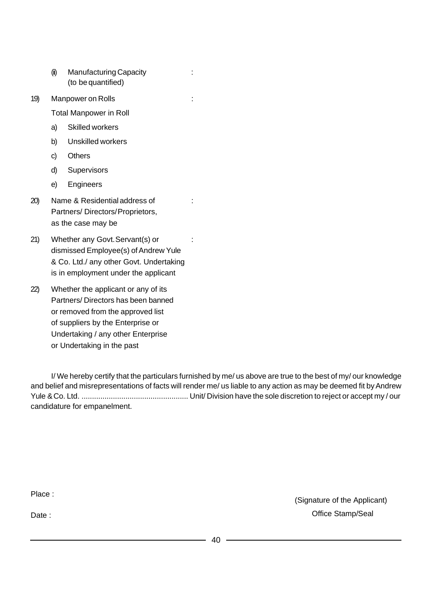- (ii) Manufacturing Capacity : (to be quantified)
- 19) Manpower on Rolls :

Total Manpower in Roll

- a) Skilled workers
- b) Unskilled workers
- c) Others
- d) Supervisors
- e) Engineers
- 20) Name & Residential address of : Partners/ Directors/Proprietors, as the case may be
- 21) Whether any Govt. Servant(s) or : dismissed Employee(s) of Andrew Yule & Co. Ltd./ any other Govt. Undertaking is in employment under the applicant
- 22) Whether the applicant or any of its Partners/ Directors has been banned or removed from the approved list of suppliers by the Enterprise or Undertaking / any other Enterprise or Undertaking in the past

I/ We hereby certify that the particulars furnished by me/ us above are true to the best of my/ our knowledge and belief and misrepresentations of facts will render me/ us liable to any action as may be deemed fit by Andrew Yule &Co. Ltd. ................................................... Unit/ Division have the sole discretion to reject or accept my / our candidature for empanelment.

Place :

Date:

(Signature of the Applicant) Office Stamp/Seal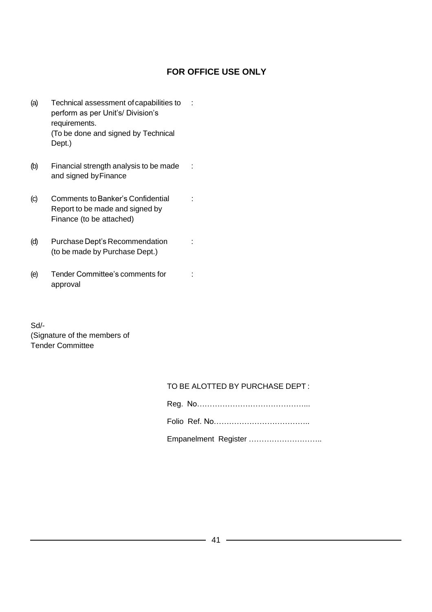#### **FOR OFFICE USE ONLY**

- (a) Technical assessment of capabilities to : perform as per Unit's/ Division's requirements. (To be done and signed by Technical Dept.)
- (b) Financial strength analysis to be made : and signed byFinance
- (c) Comments to Banker's Confidential : Report to be made and signed by Finance (to be attached)
- (d) Purchase Dept's Recommendation : (to be made by Purchase Dept.)
- (e) Tender Committee's comments for : approval

Sd/- (Signature of the members of Tender Committee

#### TO BE ALOTTED BY PURCHASE DEPT :

| Empanelment Register |
|----------------------|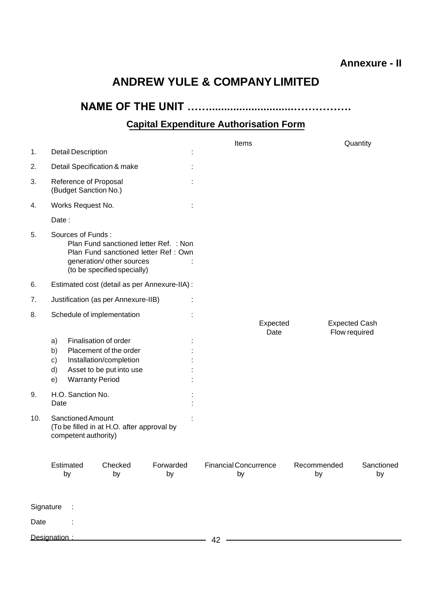### **Annexure - II**

## **ANDREW YULE & COMPANYLIMITED**

**NAME OF THE UNIT ……............................…………….**

## **Capital Expenditure Authorisation Form**

| <b>Detail Description</b><br>1.                                                                                                                                           |                                                    | Items                              |                                       | Quantity         |
|---------------------------------------------------------------------------------------------------------------------------------------------------------------------------|----------------------------------------------------|------------------------------------|---------------------------------------|------------------|
| 2.<br>Detail Specification & make                                                                                                                                         |                                                    |                                    |                                       |                  |
| 3.<br>Reference of Proposal<br>(Budget Sanction No.)                                                                                                                      |                                                    |                                    |                                       |                  |
| Works Request No.<br>4.                                                                                                                                                   |                                                    |                                    |                                       |                  |
| Date:                                                                                                                                                                     |                                                    |                                    |                                       |                  |
| Sources of Funds:<br>5.<br>Plan Fund sanctioned letter Ref. : Non<br>Plan Fund sanctioned letter Ref: Own<br>generation/ other sources<br>(to be specified specially)     |                                                    |                                    |                                       |                  |
| Estimated cost (detail as per Annexure-IIA) :<br>6.                                                                                                                       |                                                    |                                    |                                       |                  |
| Justification (as per Annexure-IIB)<br>7.                                                                                                                                 |                                                    |                                    |                                       |                  |
| Schedule of implementation<br>8.                                                                                                                                          |                                                    | Expected<br>Date                   | <b>Expected Cash</b><br>Flow required |                  |
| Finalisation of order<br>a)<br>Placement of the order<br>b)<br>Installation/completion<br>$\mathsf{c})$<br>Asset to be put into use<br>d)<br><b>Warranty Period</b><br>e) |                                                    |                                    |                                       |                  |
| H.O. Sanction No.<br>9.<br>Date                                                                                                                                           |                                                    |                                    |                                       |                  |
| <b>Sanctioned Amount</b><br>10.<br>(To be filled in at H.O. after approval by<br>competent authority)                                                                     |                                                    |                                    |                                       |                  |
| Estimated<br>Checked<br>by<br>by                                                                                                                                          | Forwarded<br>by                                    | <b>Financial Concurrence</b><br>by | Recommended<br>by                     | Sanctioned<br>by |
| Signature                                                                                                                                                                 |                                                    |                                    |                                       |                  |
| Date                                                                                                                                                                      |                                                    |                                    |                                       |                  |
| Designation:                                                                                                                                                              | <u> 1989 - Johann John Stone, markin fizikar (</u> | 42                                 |                                       |                  |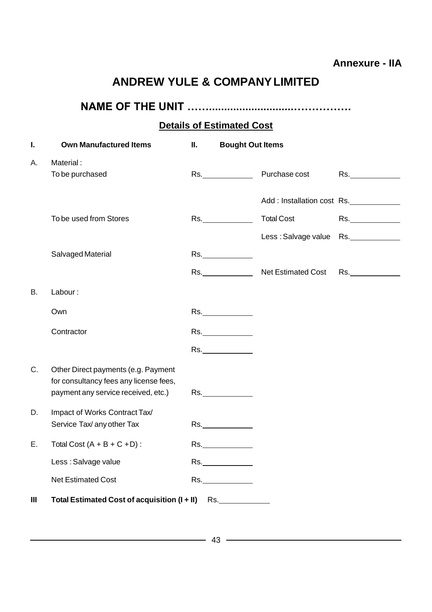## **Annexure - IIA**

## **ANDREW YULE & COMPANYLIMITED**

## **NAME OF THE UNIT ……............................…………….**

## **Details of Estimated Cost**

| I. | <b>Own Manufactured Items</b>                                                 | Ш. | <b>Bought Out Items</b>                                                                                                                                                                                                       |                            |     |
|----|-------------------------------------------------------------------------------|----|-------------------------------------------------------------------------------------------------------------------------------------------------------------------------------------------------------------------------------|----------------------------|-----|
| А. | Material:<br>To be purchased                                                  |    | Rs. And the second second second second second second second second second second second second second second second second second second second second second second second second second second second second second second | Purchase cost              | Rs. |
|    |                                                                               |    |                                                                                                                                                                                                                               | Add: Installation cost Rs. |     |
|    | To be used from Stores                                                        |    |                                                                                                                                                                                                                               | <b>Total Cost</b>          | Rs. |
|    |                                                                               |    |                                                                                                                                                                                                                               | Less: Salvage value Rs.    |     |
|    | Salvaged Material                                                             |    | Rs._______________                                                                                                                                                                                                            |                            |     |
|    |                                                                               |    |                                                                                                                                                                                                                               | Rs. Net Estimated Cost     | Rs. |
| В. | Labour:                                                                       |    |                                                                                                                                                                                                                               |                            |     |
|    | Own                                                                           |    | Rs.                                                                                                                                                                                                                           |                            |     |
|    | Contractor                                                                    |    | Rs.                                                                                                                                                                                                                           |                            |     |
|    |                                                                               |    | Rs.                                                                                                                                                                                                                           |                            |     |
| C. | Other Direct payments (e.g. Payment<br>for consultancy fees any license fees, |    |                                                                                                                                                                                                                               |                            |     |
|    | payment any service received, etc.)                                           |    | Rs.                                                                                                                                                                                                                           |                            |     |
| D. | Impact of Works Contract Tax/<br>Service Tax/ any other Tax                   |    | Rs.                                                                                                                                                                                                                           |                            |     |
| Е. | Total Cost $(A + B + C + D)$ :                                                |    | Rs.                                                                                                                                                                                                                           |                            |     |
|    | Less : Salvage value                                                          |    | Rs.                                                                                                                                                                                                                           |                            |     |
|    | <b>Net Estimated Cost</b>                                                     |    | Rs.                                                                                                                                                                                                                           |                            |     |
| Ш  | Total Estimated Cost of acquisition (I + II) Rs.                              |    |                                                                                                                                                                                                                               |                            |     |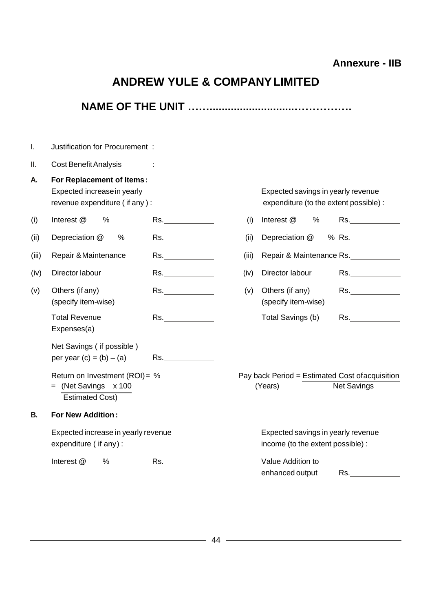## **Annexure - IIB**

## **ANDREW YULE & COMPANYLIMITED**

| I.    | Justification for Procurement :                                                           |                                                                                                                                                                                                                                |       |                                                                              |                                                                                                                                                                                                                                |
|-------|-------------------------------------------------------------------------------------------|--------------------------------------------------------------------------------------------------------------------------------------------------------------------------------------------------------------------------------|-------|------------------------------------------------------------------------------|--------------------------------------------------------------------------------------------------------------------------------------------------------------------------------------------------------------------------------|
| Ш.    | <b>Cost Benefit Analysis</b>                                                              |                                                                                                                                                                                                                                |       |                                                                              |                                                                                                                                                                                                                                |
| Α.    | For Replacement of Items:<br>Expected increase in yearly<br>revenue expenditure (if any): |                                                                                                                                                                                                                                |       | Expected savings in yearly revenue<br>expenditure (to the extent possible) : |                                                                                                                                                                                                                                |
| (i)   | Interest @<br>$\%$                                                                        | Rs.                                                                                                                                                                                                                            | (i)   | Interest @<br>%                                                              | Rs. And the state of the state of the state of the state of the state of the state of the state of the state of the state of the state of the state of the state of the state of the state of the state of the state of the st |
| (ii)  | $\%$<br>Depreciation @                                                                    | Rs.                                                                                                                                                                                                                            | (ii)  | Depreciation @                                                               | % $Rs.$                                                                                                                                                                                                                        |
| (iii) | Repair & Maintenance                                                                      | Rs.                                                                                                                                                                                                                            | (iii) |                                                                              | Repair & Maintenance Rs.                                                                                                                                                                                                       |
| (iv)  | Director labour                                                                           |                                                                                                                                                                                                                                | (iv)  | Director labour                                                              | Rs.                                                                                                                                                                                                                            |
| (v)   | Others (if any)<br>(specify item-wise)                                                    | Rs.                                                                                                                                                                                                                            | (v)   | Others (if any)<br>(specify item-wise)                                       | Rs.                                                                                                                                                                                                                            |
|       | <b>Total Revenue</b><br>Expenses(a)                                                       | Rs.                                                                                                                                                                                                                            |       | Total Savings (b)                                                            | Rs.                                                                                                                                                                                                                            |
|       | Net Savings (if possible)<br>per year (c) = $(b) - (a)$                                   | Rs.                                                                                                                                                                                                                            |       |                                                                              |                                                                                                                                                                                                                                |
|       | Return on Investment (ROI)= %<br>(Net Savings x 100<br><b>Estimated Cost)</b>             |                                                                                                                                                                                                                                |       | Pay back Period = Estimated Cost of acquisition<br>(Years)                   | <b>Net Savings</b>                                                                                                                                                                                                             |
| В.    | <b>For New Addition:</b>                                                                  |                                                                                                                                                                                                                                |       |                                                                              |                                                                                                                                                                                                                                |
|       | Expected increase in yearly revenue<br>expenditure (if any):                              |                                                                                                                                                                                                                                |       | Expected savings in yearly revenue<br>income (to the extent possible) :      |                                                                                                                                                                                                                                |
|       | Interest @<br>%                                                                           | Rs. And the same of the same of the same of the same of the same of the same of the same of the same of the same of the same of the same of the same of the same of the same of the same of the same of the same of the same o |       | Value Addition to<br>enhanced output                                         | Rs. And the set of the set of the set of the set of the set of the set of the set of the set of the set of the                                                                                                                 |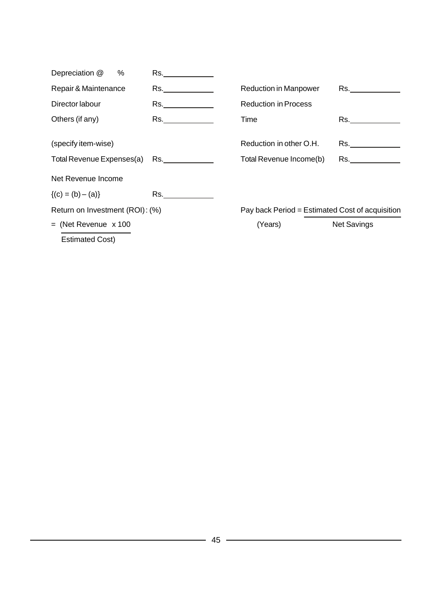|                           |                                                                                                                                                                                                                               |                                                 | <b>Net Savings</b> |
|---------------------------|-------------------------------------------------------------------------------------------------------------------------------------------------------------------------------------------------------------------------------|-------------------------------------------------|--------------------|
|                           |                                                                                                                                                                                                                               | Pay back Period = Estimated Cost of acquisition |                    |
| $\{(c) = (b) - (a)\}\$    | Rs. Album and the second series of the series of the series of the series of the series of the series of the s                                                                                                                |                                                 |                    |
| Net Revenue Income        |                                                                                                                                                                                                                               |                                                 |                    |
| Total Revenue Expenses(a) | Rs. And the second second second second second second second second second second second second second second second second second second second second second second second second second second second second second second | Total Revenue Income(b)                         | Rs. <b>Example</b> |
| (specify item-wise)       |                                                                                                                                                                                                                               | Reduction in other O.H.                         | Rs. <b>Example</b> |
| Others (if any)           | Rs. Album and the second service of the series of the series of the series of the series of the series of the series of the series of the series of the series of the series of the series of the series of the series of the | Time                                            | Rs. <b>Example</b> |
| Director labour           | Rs. _____________                                                                                                                                                                                                             | <b>Reduction in Process</b>                     |                    |
| Repair & Maintenance      | Rs. Album and the second series of the series of the series of the series of the series of the series of the s                                                                                                                | <b>Reduction in Manpower</b>                    | Rs. <b>Reserve</b> |
| Depreciation @<br>%       | Rs. Album and the second service of the series of the series of the series of the series of the series of the series of the series of the series of the series of the series of the series of the series of the series of the |                                                 |                    |
|                           | $=$ (Net Revenue $\times$ 100                                                                                                                                                                                                 | Return on Investment (ROI): (%)                 | (Years)            |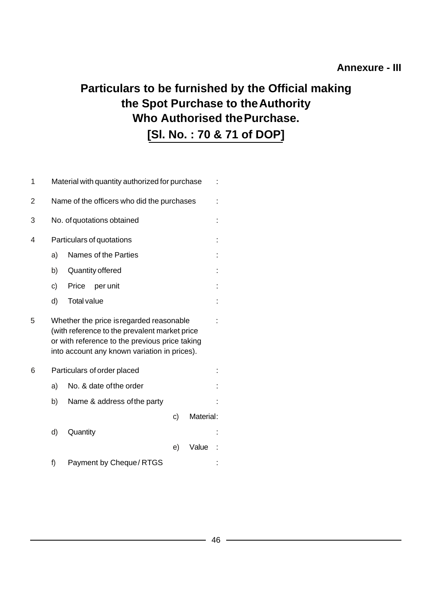## **Particulars to be furnished by the Official making the Spot Purchase to theAuthority Who Authorised thePurchase. [Sl. No. : 70 & 71 of DOP]**

| 1              | Material with quantity authorized for purchase |                                                                                                                                                                                             |                        |  |    |           |  |  |
|----------------|------------------------------------------------|---------------------------------------------------------------------------------------------------------------------------------------------------------------------------------------------|------------------------|--|----|-----------|--|--|
| $\overline{2}$ | Name of the officers who did the purchases     |                                                                                                                                                                                             |                        |  |    |           |  |  |
| 3              | No. of quotations obtained                     |                                                                                                                                                                                             |                        |  |    |           |  |  |
| 4              | Particulars of quotations                      |                                                                                                                                                                                             |                        |  |    |           |  |  |
|                | a)                                             | Names of the Parties                                                                                                                                                                        |                        |  |    |           |  |  |
|                | b)                                             | Quantity offered                                                                                                                                                                            |                        |  |    |           |  |  |
|                | c)                                             | Price                                                                                                                                                                                       | per unit               |  |    |           |  |  |
|                | d)                                             | <b>Total value</b>                                                                                                                                                                          |                        |  |    |           |  |  |
| 5              |                                                | Whether the price is regarded reasonable<br>(with reference to the prevalent market price<br>or with reference to the previous price taking<br>into account any known variation in prices). |                        |  |    |           |  |  |
| 6              |                                                | Particulars of order placed                                                                                                                                                                 |                        |  |    |           |  |  |
|                | No. & date of the order<br>a)                  |                                                                                                                                                                                             |                        |  |    |           |  |  |
|                | b)<br>Name & address of the party              |                                                                                                                                                                                             |                        |  |    |           |  |  |
|                |                                                |                                                                                                                                                                                             |                        |  | c) | Material: |  |  |
|                | d)                                             | Quantity                                                                                                                                                                                    |                        |  |    |           |  |  |
|                |                                                |                                                                                                                                                                                             |                        |  | e) | Value     |  |  |
|                | f)                                             |                                                                                                                                                                                             | Payment by Cheque/RTGS |  |    |           |  |  |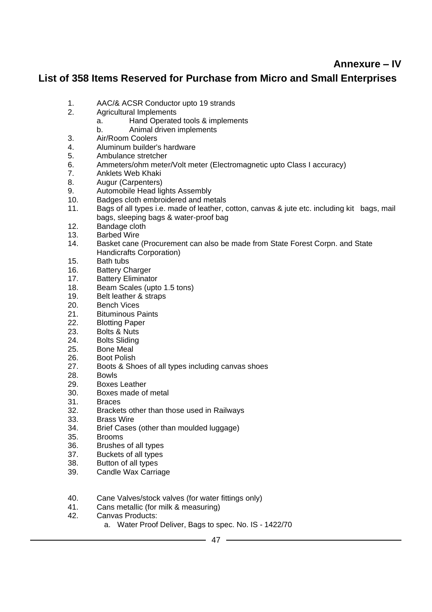## **Annexure – IV**

#### **List of 358 Items Reserved for Purchase from Micro and Small Enterprises**

- 1. AAC/& ACSR Conductor upto 19 strands
- 2. Agricultural Implements
	- a. Hand Operated tools & implements
	- b. Animal driven implements
- 3. Air/Room Coolers
- 4. Aluminum builder's hardware<br>5. Ambulance stretcher
- 5. Ambulance stretcher
- 6. Ammeters/ohm meter/Volt meter (Electromagnetic upto Class I accuracy)
- 7. Anklets Web Khaki
- 8. Augur (Carpenters)
- 9. Automobile Head lights Assembly
- 10. Badges cloth embroidered and metals
- 11. Bags of all types i.e. made of leather, cotton, canvas & jute etc. including kit bags, mail bags, sleeping bags & water-proof bag
- 12. Bandage cloth<br>13. Barbed Wire
- 13. Barbed Wire<br>14. Basket cane
- Basket cane (Procurement can also be made from State Forest Corpn. and State Handicrafts Corporation)
- 15. Bath tubs
- 16. Battery Charger
- 17. Battery Eliminator
- 18. Beam Scales (upto 1.5 tons)
- 19. Belt leather & straps
- 20. Bench Vices
- 21. Bituminous Paints<br>22. Blotting Paper
- 22. Blotting Paper<br>23. Bolts & Nuts
- 23. Bolts & Nuts<br>24. Bolts Sliding
- **Bolts Sliding**
- 25. Bone Meal
- 26. Boot Polish
- 27. Boots & Shoes of all types including canvas shoes
- 28. Bowls
- 29. Boxes Leather
- 30. Boxes made of metal
- 31. Braces
- 32. Brackets other than those used in Railways
- 33. Brass Wire<br>34. Brief Cases
- Brief Cases (other than moulded luggage)
- 35. Brooms
- 36. Brushes of all types
- 37. Buckets of all types
- 38. Button of all types
- 39. Candle Wax Carriage
- 40. Cane Valves/stock valves (for water fittings only)<br>41. Cans metallic (for milk & measuring)
- 41. Cans metallic (for milk & measuring)<br>42. Canvas Products:
- Canvas Products:
	- a. Water Proof Deliver, Bags to spec. No. IS 1422/70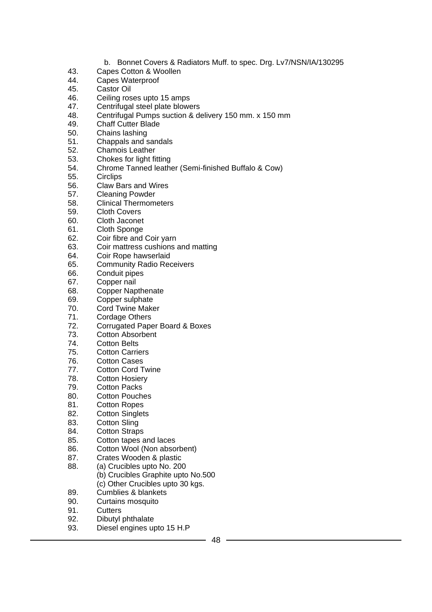- b. Bonnet Covers & Radiators Muff. to spec. Drg. Lv7/NSN/IA/130295
- 43. Capes Cotton & Woollen
- 44. Capes Waterproof<br>45. Castor Oil
- Castor Oil
- 46. Ceiling roses upto 15 amps
- 47. Centrifugal steel plate blowers<br>48. Centrifugal Pumps suction & de
- Centrifugal Pumps suction & delivery 150 mm. x 150 mm
- 49. Chaff Cutter Blade<br>50. Chains lashing
- 50. Chains lashing<br>51. Chappals and s
- 51. Chappals and sandals
- 52. Chamois Leather
- 53. Chokes for light fitting
- 54. Chrome Tanned leather (Semi-finished Buffalo & Cow)
- 55. Circlips
- 56. Claw Bars and Wires
- 57. Cleaning Powder<br>58. Clinical Thermom
- 58. Clinical Thermometers
- 59. Cloth Covers<br>60. Cloth Jaconet
- Cloth Jaconet
- 61. Cloth Sponge
- 62. Coir fibre and Coir yarn
- 63. Coir mattress cushions and matting
- 64. Coir Rope hawserlaid
- 65. Community Radio Receivers
- 66. Conduit pipes<br>67. Copper nail
- 67. Copper nail<br>68. Copper Nap
- **Copper Napthenate**
- 69. Copper sulphate
- 70. Cord Twine Maker<br>71. Cordage Others
- Cordage Others
- 72. Corrugated Paper Board & Boxes
- 73. Cotton Absorbent
- 74. Cotton Belts
- 75. Cotton Carriers
- 
- 76. Cotton Cases<br>77. Cotton Cord T 77. Cotton Cord Twine<br>78. Cotton Hosiery
- **Cotton Hosiery**
- 79. Cotton Packs
- 80. Cotton Pouches
- 81. Cotton Ropes
- 82. Cotton Singlets
- 83. Cotton Sling
- 84. Cotton Straps
- 85. Cotton tapes and laces
- 86. Cotton Wool (Non absorbent)
- 87. Crates Wooden & plastic
- 88. (a) Crucibles upto No. 200
	- (b) Crucibles Graphite upto No.500 (c) Other Crucibles upto 30 kgs.
- 89. Cumblies & blankets
- 90. Curtains mosquito
- 91. Cutters
- 92. Dibutyl phthalate
- 93. Diesel engines upto 15 H.P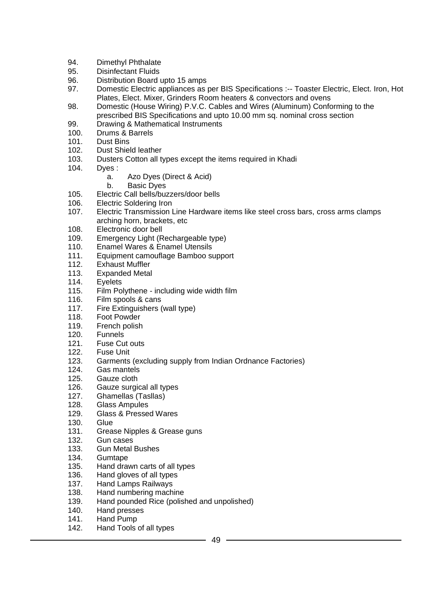- 94. Dimethyl Phthalate
- 95. Disinfectant Fluids
- 96. Distribution Board upto 15 amps
- 97. Domestic Electric appliances as per BIS Specifications :-- Toaster Electric, Elect. Iron, Hot Plates, Elect. Mixer, Grinders Room heaters & convectors and ovens
- 98. Domestic (House Wiring) P.V.C. Cables and Wires (Aluminum) Conforming to the prescribed BIS Specifications and upto 10.00 mm sq. nominal cross section
- 99. Drawing & Mathematical Instruments
- 100. Drums & Barrels<br>101. Dust Bins
- Dust Bins
- 102. Dust Shield leather
- 103. Dusters Cotton all types except the items required in Khadi
- 104. Dyes :
	- a. Azo Dyes (Direct & Acid)
	- b. Basic Dyes
- 105. Electric Call bells/buzzers/door bells<br>106. Electric Soldering Iron
- **Electric Soldering Iron**
- 107. Electric Transmission Line Hardware items like steel cross bars, cross arms clamps arching horn, brackets, etc
- 108. Electronic door bell
- 109. Emergency Light (Rechargeable type)
- 110. Enamel Wares & Enamel Utensils
- 111. Equipment camouflage Bamboo support
- 112. Exhaust Muffler
- 113. Expanded Metal
- 114. Eyelets<br>115. Film Po
- Film Polythene including wide width film
- 116. Film spools & cans
- 117. Fire Extinguishers (wall type)
- 118. Foot Powder
- 119. French polish
- 120. Funnels
- 121. Fuse Cut outs
- 122. Fuse Unit
- 123. Garments (excluding supply from Indian Ordnance Factories)
- 124. Gas mantels<br>125. Gauze cloth
- Gauze cloth
- 126. Gauze surgical all types
- 127. Ghamellas (Tasllas)
- 128. Glass Ampules
- 129. Glass & Pressed Wares
- 130. Glue
- 131. Grease Nipples & Grease guns
- 132. Gun cases
- 133. Gun Metal Bushes
- 134. Gumtape
- 135. Hand drawn carts of all types
- 136. Hand gloves of all types
- 137. Hand Lamps Railways
- 138. Hand numbering machine
- 139. Hand pounded Rice (polished and unpolished)
- 140. Hand presses
- 141. Hand Pump
- 142. Hand Tools of all types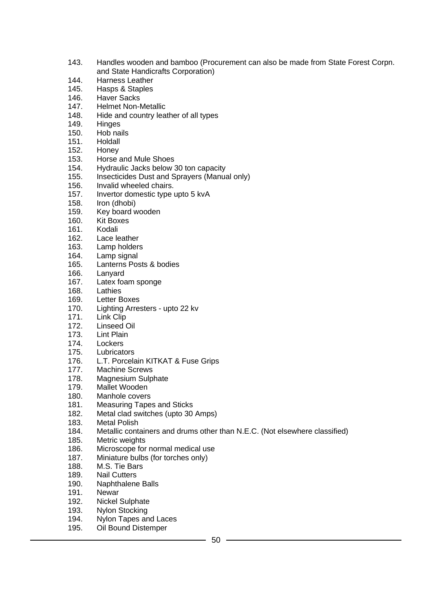- 143. Handles wooden and bamboo (Procurement can also be made from State Forest Corpn. and State Handicrafts Corporation)
- 144. Harness Leather
- 145. Hasps & Staples
- 146. Haver Sacks
- 147. Helmet Non-Metallic<br>148. Hide and country lea
- Hide and country leather of all types
- 149. Hinges
- 150. Hob nails<br>151. Holdall
- Holdall
- 152. Honey
- 153. Horse and Mule Shoes
- 154. Hydraulic Jacks below 30 ton capacity
- 155. Insecticides Dust and Sprayers (Manual only)
- 156. Invalid wheeled chairs.
- 157. Invertor domestic type upto 5 kvA<br>158. Iron (dhobi)
- Iron (dhobi)
- 159. Key board wooden
- 160. Kit Boxes
- 161. Kodali
- 162. Lace leather
- 163. Lamp holders
- 164. Lamp signal
- 165. Lanterns Posts & bodies
- 166. Lanyard<br>167. Latex foa
- 167. Latex foam sponge<br>168. Lathies
- Lathies
- 169. Letter Boxes
- 170. Lighting Arresters upto 22 kv<br>171. Link Clip
- Link Clip
- 172. Linseed Oil
- 173. Lint Plain
- 174. Lockers
- 175. Lubricators
- 176. L.T. Porcelain KITKAT & Fuse Grips<br>177. Machine Screws
- 177. Machine Screws<br>178. Magnesium Sulp
- Magnesium Sulphate
- 179. Mallet Wooden
- 180. Manhole covers
- 181. Measuring Tapes and Sticks
- 182. Metal clad switches (upto 30 Amps)
- 183. Metal Polish
- 184. Metallic containers and drums other than N.E.C. (Not elsewhere classified)
- 185. Metric weights
- 186. Microscope for normal medical use
- 187. Miniature bulbs (for torches only)
- 188. M.S. Tie Bars
- 189. Nail Cutters
- 190. Naphthalene Balls
- 191. Newar
- 192. Nickel Sulphate
- 193. Nylon Stocking
- 194. Nylon Tapes and Laces
- 195. Oil Bound Distemper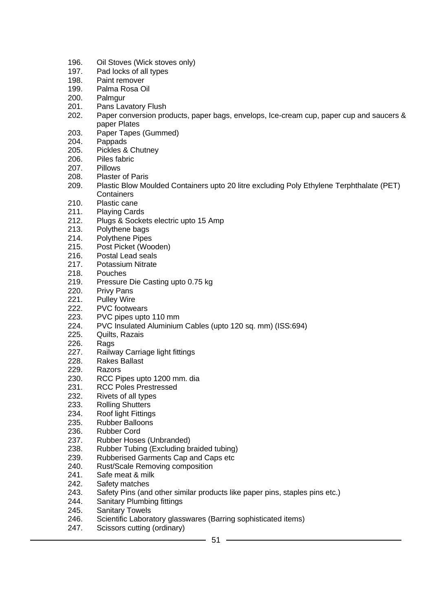- 196. Oil Stoves (Wick stoves only)
- 197. Pad locks of all types
- 198. Paint remover
- 199. Palma Rosa Oil
- 200. Palmgur
- 201. Pans Lavatory Flush<br>202. Paper conversion pro
- Paper conversion products, paper bags, envelops, Ice-cream cup, paper cup and saucers & paper Plates
- 203. Paper Tapes (Gummed)<br>204. Pappads
- Pappads
- 205. Pickles & Chutney
- 206. Piles fabric
- 207. Pillows
- 208. Plaster of Paris
- 209. Plastic Blow Moulded Containers upto 20 litre excluding Poly Ethylene Terphthalate (PET) **Containers**
- 210. Plastic cane
- 211. Playing Cards
- 212. Plugs & Sockets electric upto 15 Amp
- 213. Polythene bags
- 214. Polythene Pipes
- 215. Post Picket (Wooden)
- 216. Postal Lead seals
- 217. Potassium Nitrate
- 218. Pouches
- 219. Pressure Die Casting upto 0.75 kg<br>220. Privy Pans
- Privy Pans
- 221. Pulley Wire
- 222. PVC footwears<br>223. PVC pipes upto
- PVC pipes upto 110 mm
- 224. PVC Insulated Aluminium Cables (upto 120 sq. mm) (ISS:694)
- 225. Quilts, Razais
- 226. Rags
- 227. Railway Carriage light fittings
- 228. Rakes Ballast
- 229. Razors<br>230. RCC Pi
- RCC Pipes upto 1200 mm. dia
- 231. RCC Poles Prestressed
- 232. Rivets of all types
- 233. Rolling Shutters
- 234. Roof light Fittings
- 235. Rubber Balloons
- 236. Rubber Cord
- 237. Rubber Hoses (Unbranded)
- 238. Rubber Tubing (Excluding braided tubing)
- 239. Rubberised Garments Cap and Caps etc
- 240. Rust/Scale Removing composition
- 241. Safe meat & milk
- 242. Safety matches
- 243. Safety Pins (and other similar products like paper pins, staples pins etc.)
- 244. Sanitary Plumbing fittings
- 245. Sanitary Towels
- 246. Scientific Laboratory glasswares (Barring sophisticated items)
- 247. Scissors cutting (ordinary)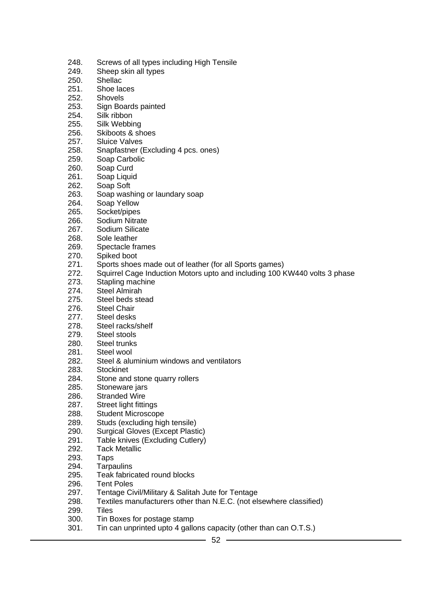- 248. Screws of all types including High Tensile
- 249. Sheep skin all types<br>250. Shellac
- **Shellac**
- 251. Shoe laces
- 252. Shovels
- 253. Sign Boards painted<br>254. Silk ribbon
- Silk ribbon
- 255. Silk Webbing
- 256. Skiboots & shoes<br>257. Sluice Valves
- Sluice Valves
- 258. Snapfastner (Excluding 4 pcs. ones)
- 259. Soap Carbolic
- 260. Soap Curd
- 261. Soap Liquid
- 262. Soap Soft
- 263. Soap washing or laundary soap<br>264. Soap Yellow
- Soap Yellow
- 265. Socket/pipes
- 266. Sodium Nitrate
- 267. Sodium Silicate
- 268. Sole leather
- 269. Spectacle frames
- 270. Spiked boot
- 271. Sports shoes made out of leather (for all Sports games)
- 272. Squirrel Cage Induction Motors upto and including 100 KW440 volts 3 phase<br>273. Stapling machine
- 273. Stapling machine<br>274. Steel Almirah
- Steel Almirah
- 275. Steel beds stead
- 276. Steel Chair<br>277. Steel desks
- Steel desks
- 278. Steel racks/shelf
- 279. Steel stools
- 280. Steel trunks
- 281. Steel wool
- 282. Steel & aluminium windows and ventilators
- 283. Stockinet<br>284. Stone and
- Stone and stone quarry rollers
- 285. Stoneware jars
- 286. Stranded Wire
- 287. Street light fittings
- 288. Student Microscope
- 289. Studs (excluding high tensile)
- 290. Surgical Gloves (Except Plastic)
- 291. Table knives (Excluding Cutlery)
- 292. Tack Metallic
- 293. Taps
- 294. Tarpaulins
- 295. Teak fabricated round blocks
- 296. Tent Poles
- 297. Tentage Civil/Military & Salitah Jute for Tentage
- 298. Textiles manufacturers other than N.E.C. (not elsewhere classified)
- 299. Tiles
- 300. Tin Boxes for postage stamp
- 301. Tin can unprinted upto 4 gallons capacity (other than can O.T.S.)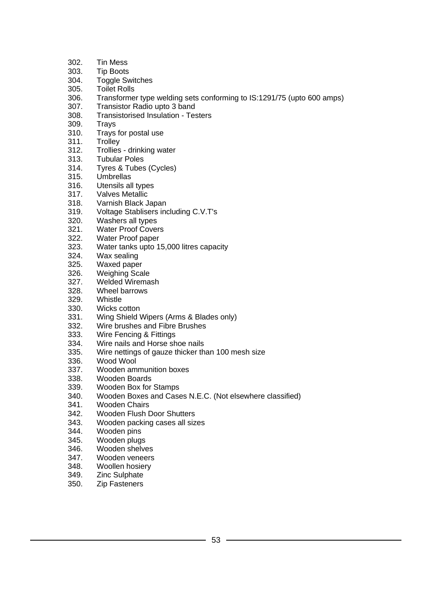- 302. Tin Mess
- 303. Tip Boots
- 304. Toggle Switches
- 305. Toilet Rolls
- 306. Transformer type welding sets conforming to IS:1291/75 (upto 600 amps)
- 307. Transistor Radio upto 3 band
- 308. Transistorised Insulation Testers
- 309. Trays
- 310. Trays for postal use<br>311. Trolley
- **Trolley**
- 312. Trollies drinking water
- 313. Tubular Poles
- 314. Tyres & Tubes (Cycles)
- 315. Umbrellas
- 316. Utensils all types
- 317. Valves Metallic<br>318. Varnish Black J
- Varnish Black Japan
- 319. Voltage Stablisers including C.V.T's
- 320. Washers all types<br>321. Water Proof Cover
- **Water Proof Covers**
- 322. Water Proof paper
- 323. Water tanks upto 15,000 litres capacity
- 324. Wax sealing
- 325. Waxed paper
- 326. Weighing Scale<br>327. Welded Wirema
- 327. Welded Wiremash<br>328. Wheel barrows
- Wheel barrows
- 329. Whistle
- 330. Wicks cotton<br>331. Wing Shield
- Wing Shield Wipers (Arms & Blades only)
- 332. Wire brushes and Fibre Brushes
- 333. Wire Fencing & Fittings
- 334. Wire nails and Horse shoe nails
- 335. Wire nettings of gauze thicker than 100 mesh size
- 336. Wood Wool<br>337. Wooden am
- 337. Wooden ammunition boxes<br>338. Wooden Boards
- Wooden Boards
- 339. Wooden Box for Stamps
- 340. Wooden Boxes and Cases N.E.C. (Not elsewhere classified)
- 341. Wooden Chairs
- 342. Wooden Flush Door Shutters
- 343. Wooden packing cases all sizes
- 344. Wooden pins
- 345. Wooden plugs
- 346. Wooden shelves
- 347. Wooden veneers
- 348. Woollen hosiery
- 349. Zinc Sulphate
- 350. Zip Fasteners